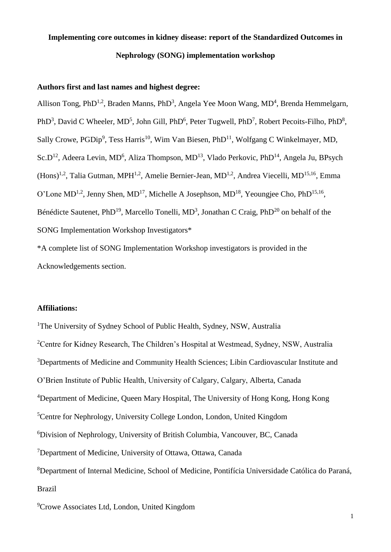# **Implementing core outcomes in kidney disease: report of the Standardized Outcomes in Nephrology (SONG) implementation workshop**

## **Authors first and last names and highest degree:**

Allison Tong, PhD<sup>1,2</sup>, Braden Manns, PhD<sup>3</sup>, Angela Yee Moon Wang, MD<sup>4</sup>, Brenda Hemmelgarn, PhD<sup>3</sup>, David C Wheeler, MD<sup>5</sup>, John Gill, PhD<sup>6</sup>, Peter Tugwell, PhD<sup>7</sup>, Robert Pecoits-Filho, PhD<sup>8</sup>, Sally Crowe,  $PGDip<sup>9</sup>$ , Tess Harris<sup>10</sup>, Wim Van Biesen,  $PhD<sup>11</sup>$ , Wolfgang C Winkelmayer, MD, Sc.D<sup>12</sup>, Adeera Levin, MD<sup>6</sup>, Aliza Thompson, MD<sup>13</sup>, Vlado Perkovic, PhD<sup>14</sup>, Angela Ju, BPsych  $(Hons)^{1,2}$ , Talia Gutman, MPH<sup>1,2</sup>, Amelie Bernier-Jean, MD<sup>1,2</sup>, Andrea Viecelli, MD<sup>15,16</sup>, Emma O'Lone MD<sup>1,2</sup>, Jenny Shen, MD<sup>17</sup>, Michelle A Josephson, MD<sup>18</sup>, Yeoungjee Cho, PhD<sup>15,16</sup>, Bénédicte Sautenet, PhD<sup>19</sup>, Marcello Tonelli, MD<sup>3</sup>, Jonathan C Craig, PhD<sup>20</sup> on behalf of the SONG Implementation Workshop Investigators\*

\*A complete list of SONG Implementation Workshop investigators is provided in the Acknowledgements section.

## **Affiliations:**

<sup>1</sup>The University of Sydney School of Public Health, Sydney, NSW, Australia <sup>2</sup>Centre for Kidney Research, The Children's Hospital at Westmead, Sydney, NSW, Australia <sup>3</sup>Departments of Medicine and Community Health Sciences; Libin Cardiovascular Institute and O'Brien Institute of Public Health, University of Calgary, Calgary, Alberta, Canada <sup>4</sup>Department of Medicine, Queen Mary Hospital, The University of Hong Kong, Hong Kong <sup>5</sup>Centre for Nephrology, University College London, London, United Kingdom <sup>6</sup>Division of Nephrology, University of British Columbia, Vancouver, BC, Canada <sup>7</sup>Department of Medicine, University of Ottawa, Ottawa, Canada <sup>8</sup>Department of Internal Medicine, School of Medicine, Pontifícia Universidade Católica do Paraná, Brazil

<sup>9</sup>Crowe Associates Ltd, London, United Kingdom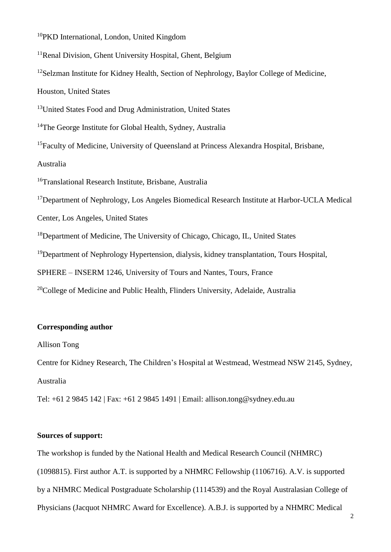<sup>10</sup>PKD International, London, United Kingdom

<sup>11</sup>Renal Division, Ghent University Hospital, Ghent, Belgium

<sup>12</sup>Selzman Institute for Kidney Health, Section of Nephrology, Baylor College of Medicine,

Houston, United States

<sup>13</sup>United States Food and Drug Administration, United States

<sup>14</sup>The George Institute for Global Health, Sydney, Australia

<sup>15</sup>Faculty of Medicine, University of Queensland at Princess Alexandra Hospital, Brisbane,

Australia

<sup>16</sup>Translational Research Institute, Brisbane, Australia

<sup>17</sup>Department of Nephrology, Los Angeles Biomedical Research Institute at Harbor-UCLA Medical

Center, Los Angeles, United States

<sup>18</sup>Department of Medicine, The University of Chicago, Chicago, IL, United States

<sup>19</sup>Department of Nephrology Hypertension, dialysis, kidney transplantation, Tours Hospital,

SPHERE – INSERM 1246, University of Tours and Nantes, Tours, France

 $20$ College of Medicine and Public Health, Flinders University, Adelaide, Australia

## **Corresponding author**

Allison Tong

Centre for Kidney Research, The Children's Hospital at Westmead, Westmead NSW 2145, Sydney, Australia

Tel: +61 2 9845 142 | Fax: +61 2 9845 1491 | Email: allison.tong@sydney.edu.au

## **Sources of support:**

The workshop is funded by the National Health and Medical Research Council (NHMRC) (1098815). First author A.T. is supported by a NHMRC Fellowship (1106716). A.V. is supported by a NHMRC Medical Postgraduate Scholarship (1114539) and the Royal Australasian College of Physicians (Jacquot NHMRC Award for Excellence). A.B.J. is supported by a NHMRC Medical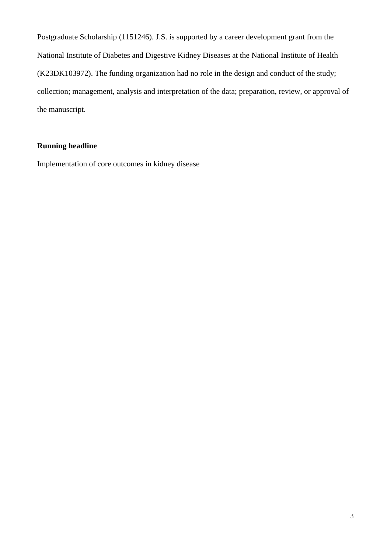Postgraduate Scholarship (1151246). J.S. is supported by a career development grant from the National Institute of Diabetes and Digestive Kidney Diseases at the National Institute of Health (K23DK103972). The funding organization had no role in the design and conduct of the study; collection; management, analysis and interpretation of the data; preparation, review, or approval of the manuscript.

## **Running headline**

Implementation of core outcomes in kidney disease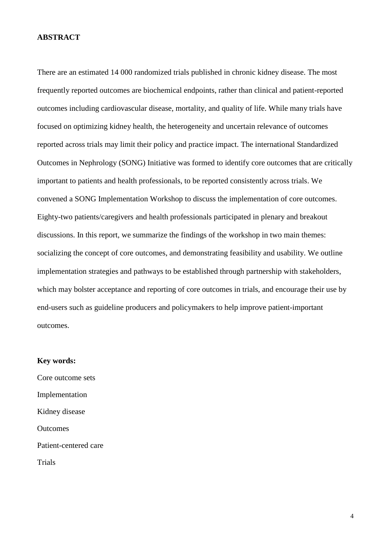#### **ABSTRACT**

There are an estimated 14 000 randomized trials published in chronic kidney disease. The most frequently reported outcomes are biochemical endpoints, rather than clinical and patient-reported outcomes including cardiovascular disease, mortality, and quality of life. While many trials have focused on optimizing kidney health, the heterogeneity and uncertain relevance of outcomes reported across trials may limit their policy and practice impact. The international Standardized Outcomes in Nephrology (SONG) Initiative was formed to identify core outcomes that are critically important to patients and health professionals, to be reported consistently across trials. We convened a SONG Implementation Workshop to discuss the implementation of core outcomes. Eighty-two patients/caregivers and health professionals participated in plenary and breakout discussions. In this report, we summarize the findings of the workshop in two main themes: socializing the concept of core outcomes, and demonstrating feasibility and usability. We outline implementation strategies and pathways to be established through partnership with stakeholders, which may bolster acceptance and reporting of core outcomes in trials, and encourage their use by end-users such as guideline producers and policymakers to help improve patient-important outcomes.

#### **Key words:**

Core outcome sets Implementation Kidney disease **Outcomes** Patient-centered care Trials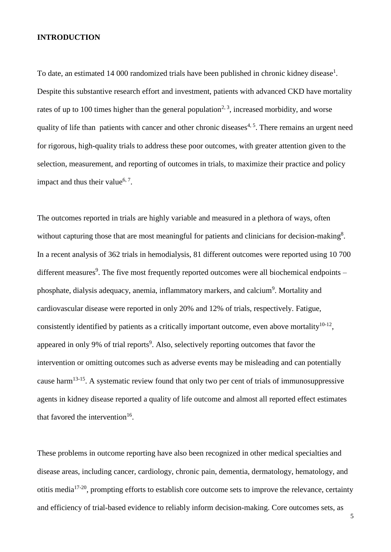## **INTRODUCTION**

To date, an estimated [1](#page-21-0)4 000 randomized trials have been published in chronic kidney disease<sup>1</sup>. Despite this substantive research effort and investment, patients with advanced CKD have mortality rates of up to 100 times higher than the general population<sup>[2,](#page-21-1) [3](#page-21-2)</sup>, increased morbidity, and worse quality of life than patients with cancer and other chronic diseases<sup> $4, 5$  $4, 5$ </sup>. There remains an urgent need for rigorous, high-quality trials to address these poor outcomes, with greater attention given to the selection, measurement, and reporting of outcomes in trials, to maximize their practice and policy impact and thus their value<sup>[6,](#page-21-5) [7](#page-21-6)</sup>.

The outcomes reported in trials are highly variable and measured in a plethora of ways, often without capturing those that are most meaningful for patients and clinicians for decision-making<sup>[8](#page-22-0)</sup>. In a recent analysis of 362 trials in hemodialysis, 81 different outcomes were reported using 10 700 different measures<sup>[9](#page-22-1)</sup>. The five most frequently reported outcomes were all biochemical endpoints – phosphate, dialysis adequacy, anemia, inflammatory markers, and calcium<sup>[9](#page-22-1)</sup>. Mortality and cardiovascular disease were reported in only 20% and 12% of trials, respectively. Fatigue, consistently identified by patients as a critically important outcome, even above mortality $10^{-12}$ , appeared in only 9% of trial reports<sup>9</sup>[.](#page-22-1) Also, selectively reporting outcomes that favor the intervention or omitting outcomes such as adverse events may be misleading and can potentially cause harm<sup>[13-15](#page-22-3)</sup>. A systematic review found that only two per cent of trials of immunosuppressive agents in kidney disease reported a quality of life outcome and almost all reported effect estimates that favored the intervention<sup>[16](#page-23-0)</sup>.

These problems in outcome reporting have also been recognized in other medical specialties and disease areas, including cancer, cardiology, chronic pain, dementia, dermatology, hematology, and otitis media $17-20$ , prompting efforts to establish core outcome sets to improve the relevance, certainty and efficiency of trial-based evidence to reliably inform decision-making. Core outcomes sets, as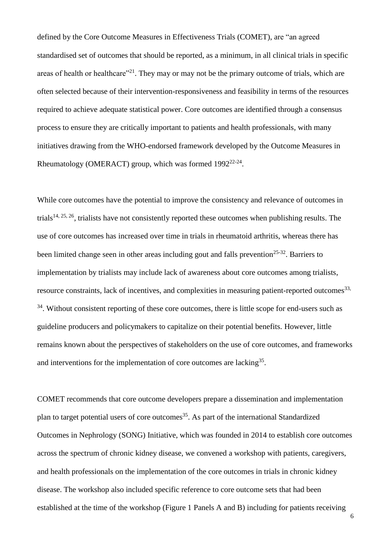defined by the Core Outcome Measures in Effectiveness Trials (COMET), are "an agreed standardised set of outcomes that should be reported, as a minimum, in all clinical trials in specific areas of health or healthcare"<sup>[21](#page-24-0)</sup>. They may or may not be the primary outcome of trials, which are often selected because of their intervention-responsiveness and feasibility in terms of the resources required to achieve adequate statistical power. Core outcomes are identified through a consensus process to ensure they are critically important to patients and health professionals, with many initiatives drawing from the WHO-endorsed framework developed by the Outcome Measures in Rheumatology (OMERACT) group, which was formed 1992<sup>[22-24](#page-24-1)</sup>.

While core outcomes have the potential to improve the consistency and relevance of outcomes in trials<sup>[14,](#page-22-4) [25,](#page-24-2) [26](#page-24-3)</sup>, trialists have not consistently reported these outcomes when publishing results. The use of core outcomes has increased over time in trials in rheumatoid arthritis, whereas there has been limited change seen in other areas including gout and falls prevention<sup>[25-32](#page-24-2)</sup>. Barriers to implementation by trialists may include lack of awareness about core outcomes among trialists, resource constraints, lack of incentives, and complexities in measuring patient-reported outcomes<sup>33,</sup> <sup>[34](#page-26-0)</sup>. Without consistent reporting of these core outcomes, there is little scope for end-users such as guideline producers and policymakers to capitalize on their potential benefits. However, little remains known about the perspectives of stakeholders on the use of core outcomes, and frameworks and interventions for the implementation of core outcomes are lacking<sup>[35](#page-26-1)</sup>.

COMET recommends that core outcome developers prepare a dissemination and implementation plan to target potential users of core outcomes<sup>[35](#page-26-1)</sup>. As part of the international Standardized Outcomes in Nephrology (SONG) Initiative, which was founded in 2014 to establish core outcomes across the spectrum of chronic kidney disease, we convened a workshop with patients, caregivers, and health professionals on the implementation of the core outcomes in trials in chronic kidney disease. The workshop also included specific reference to core outcome sets that had been established at the time of the workshop (Figure 1 Panels A and B) including for patients receiving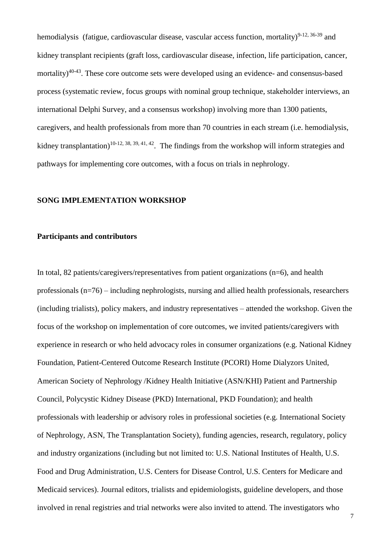hemodialysis (fatigue, cardiovascular disease, vascular access function, mortality)<sup>[9-12,](#page-22-1) [36-39](#page-26-2)</sup> and kidney transplant recipients (graft loss, cardiovascular disease, infection, life participation, cancer, mortality)<sup>[40-43](#page-27-0)</sup>. These core outcome sets were developed using an evidence- and consensus-based process (systematic review, focus groups with nominal group technique, stakeholder interviews, an international Delphi Survey, and a consensus workshop) involving more than 1300 patients, caregivers, and health professionals from more than 70 countries in each stream (i.e. hemodialysis, kidney transplantation)<sup>[10-12,](#page-22-2) [38,](#page-26-3) [39,](#page-26-4) [41,](#page-27-1) [42](#page-27-2)</sup>. The findings from the workshop will inform strategies and pathways for implementing core outcomes, with a focus on trials in nephrology.

#### **SONG IMPLEMENTATION WORKSHOP**

#### **Participants and contributors**

In total, 82 patients/caregivers/representatives from patient organizations (n=6), and health professionals (n=76) – including nephrologists, nursing and allied health professionals, researchers (including trialists), policy makers, and industry representatives – attended the workshop. Given the focus of the workshop on implementation of core outcomes, we invited patients/caregivers with experience in research or who held advocacy roles in consumer organizations (e.g. National Kidney Foundation, Patient-Centered Outcome Research Institute (PCORI) Home Dialyzors United, American Society of Nephrology /Kidney Health Initiative (ASN/KHI) Patient and Partnership Council, Polycystic Kidney Disease (PKD) International, PKD Foundation); and health professionals with leadership or advisory roles in professional societies (e.g. International Society of Nephrology, ASN, The Transplantation Society), funding agencies, research, regulatory, policy and industry organizations (including but not limited to: U.S. National Institutes of Health, U.S. Food and Drug Administration, U.S. Centers for Disease Control, U.S. Centers for Medicare and Medicaid services). Journal editors, trialists and epidemiologists, guideline developers, and those involved in renal registries and trial networks were also invited to attend. The investigators who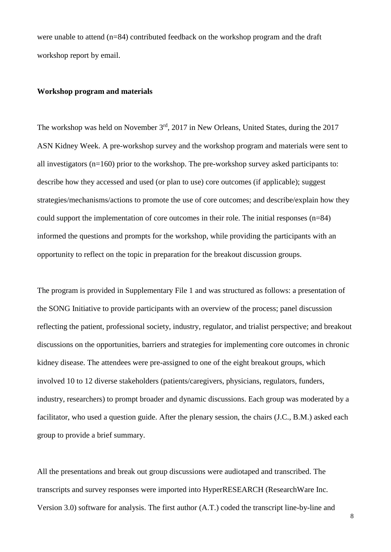were unable to attend (n=84) contributed feedback on the workshop program and the draft workshop report by email.

## **Workshop program and materials**

The workshop was held on November 3<sup>rd</sup>, 2017 in New Orleans, United States, during the 2017 ASN Kidney Week. A pre-workshop survey and the workshop program and materials were sent to all investigators  $(n=160)$  prior to the workshop. The pre-workshop survey asked participants to: describe how they accessed and used (or plan to use) core outcomes (if applicable); suggest strategies/mechanisms/actions to promote the use of core outcomes; and describe/explain how they could support the implementation of core outcomes in their role. The initial responses (n=84) informed the questions and prompts for the workshop, while providing the participants with an opportunity to reflect on the topic in preparation for the breakout discussion groups.

The program is provided in Supplementary File 1 and was structured as follows: a presentation of the SONG Initiative to provide participants with an overview of the process; panel discussion reflecting the patient, professional society, industry, regulator, and trialist perspective; and breakout discussions on the opportunities, barriers and strategies for implementing core outcomes in chronic kidney disease. The attendees were pre-assigned to one of the eight breakout groups, which involved 10 to 12 diverse stakeholders (patients/caregivers, physicians, regulators, funders, industry, researchers) to prompt broader and dynamic discussions. Each group was moderated by a facilitator, who used a question guide. After the plenary session, the chairs (J.C., B.M.) asked each group to provide a brief summary.

All the presentations and break out group discussions were audiotaped and transcribed. The transcripts and survey responses were imported into HyperRESEARCH (ResearchWare Inc. Version 3.0) software for analysis. The first author (A.T.) coded the transcript line-by-line and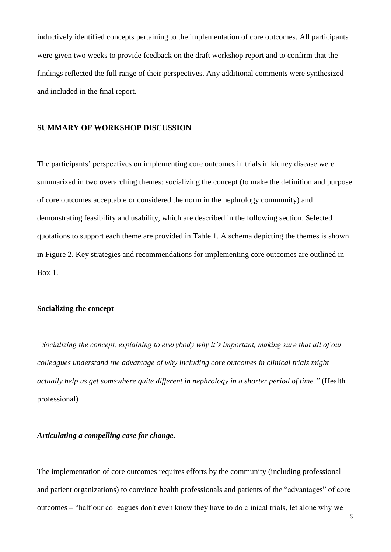inductively identified concepts pertaining to the implementation of core outcomes. All participants were given two weeks to provide feedback on the draft workshop report and to confirm that the findings reflected the full range of their perspectives. Any additional comments were synthesized and included in the final report.

#### **SUMMARY OF WORKSHOP DISCUSSION**

The participants' perspectives on implementing core outcomes in trials in kidney disease were summarized in two overarching themes: socializing the concept (to make the definition and purpose of core outcomes acceptable or considered the norm in the nephrology community) and demonstrating feasibility and usability, which are described in the following section. Selected quotations to support each theme are provided in Table 1. A schema depicting the themes is shown in Figure 2. Key strategies and recommendations for implementing core outcomes are outlined in Box 1.

#### **Socializing the concept**

*"Socializing the concept, explaining to everybody why it's important, making sure that all of our colleagues understand the advantage of why including core outcomes in clinical trials might actually help us get somewhere quite different in nephrology in a shorter period of time."* (Health professional)

## *Articulating a compelling case for change.*

The implementation of core outcomes requires efforts by the community (including professional and patient organizations) to convince health professionals and patients of the "advantages" of core outcomes – "half our colleagues don't even know they have to do clinical trials, let alone why we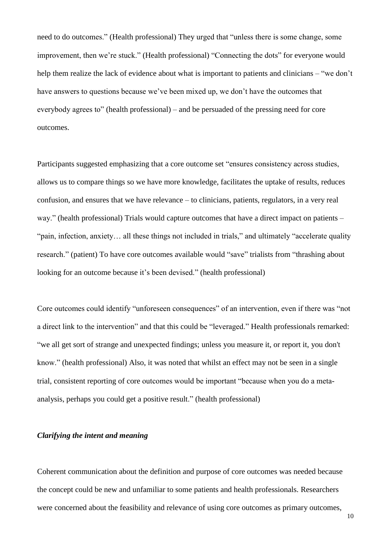need to do outcomes." (Health professional) They urged that "unless there is some change, some improvement, then we're stuck." (Health professional) "Connecting the dots" for everyone would help them realize the lack of evidence about what is important to patients and clinicians – "we don't have answers to questions because we've been mixed up, we don't have the outcomes that everybody agrees to" (health professional) – and be persuaded of the pressing need for core outcomes.

Participants suggested emphasizing that a core outcome set "ensures consistency across studies, allows us to compare things so we have more knowledge, facilitates the uptake of results, reduces confusion, and ensures that we have relevance – to clinicians, patients, regulators, in a very real way." (health professional) Trials would capture outcomes that have a direct impact on patients – "pain, infection, anxiety… all these things not included in trials," and ultimately "accelerate quality research." (patient) To have core outcomes available would "save" trialists from "thrashing about looking for an outcome because it's been devised." (health professional)

Core outcomes could identify "unforeseen consequences" of an intervention, even if there was "not a direct link to the intervention" and that this could be "leveraged." Health professionals remarked: "we all get sort of strange and unexpected findings; unless you measure it, or report it, you don't know." (health professional) Also, it was noted that whilst an effect may not be seen in a single trial, consistent reporting of core outcomes would be important "because when you do a metaanalysis, perhaps you could get a positive result." (health professional)

## *Clarifying the intent and meaning*

Coherent communication about the definition and purpose of core outcomes was needed because the concept could be new and unfamiliar to some patients and health professionals. Researchers were concerned about the feasibility and relevance of using core outcomes as primary outcomes,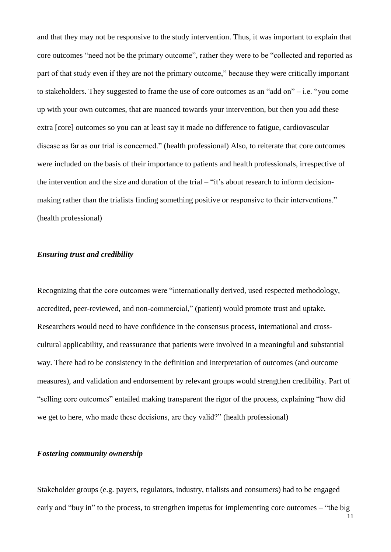and that they may not be responsive to the study intervention. Thus, it was important to explain that core outcomes "need not be the primary outcome", rather they were to be "collected and reported as part of that study even if they are not the primary outcome," because they were critically important to stakeholders. They suggested to frame the use of core outcomes as an "add on" – i.e. "you come up with your own outcomes, that are nuanced towards your intervention, but then you add these extra [core] outcomes so you can at least say it made no difference to fatigue, cardiovascular disease as far as our trial is concerned." (health professional) Also, to reiterate that core outcomes were included on the basis of their importance to patients and health professionals, irrespective of the intervention and the size and duration of the trial – "it's about research to inform decisionmaking rather than the trialists finding something positive or responsive to their interventions." (health professional)

## *Ensuring trust and credibility*

Recognizing that the core outcomes were "internationally derived, used respected methodology, accredited, peer-reviewed, and non-commercial," (patient) would promote trust and uptake. Researchers would need to have confidence in the consensus process, international and crosscultural applicability, and reassurance that patients were involved in a meaningful and substantial way. There had to be consistency in the definition and interpretation of outcomes (and outcome measures), and validation and endorsement by relevant groups would strengthen credibility. Part of "selling core outcomes" entailed making transparent the rigor of the process, explaining "how did we get to here, who made these decisions, are they valid?" (health professional)

#### *Fostering community ownership*

Stakeholder groups (e.g. payers, regulators, industry, trialists and consumers) had to be engaged early and "buy in" to the process, to strengthen impetus for implementing core outcomes – "the big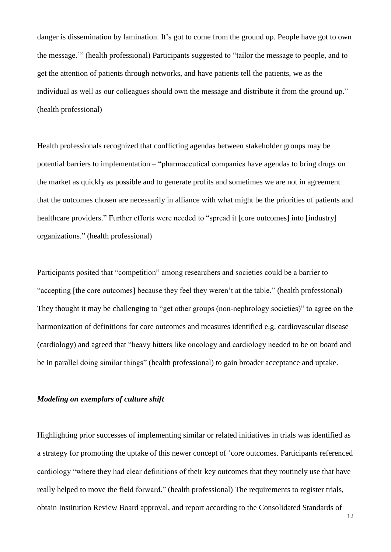danger is dissemination by lamination. It's got to come from the ground up. People have got to own the message.'" (health professional) Participants suggested to "tailor the message to people, and to get the attention of patients through networks, and have patients tell the patients, we as the individual as well as our colleagues should own the message and distribute it from the ground up." (health professional)

Health professionals recognized that conflicting agendas between stakeholder groups may be potential barriers to implementation – "pharmaceutical companies have agendas to bring drugs on the market as quickly as possible and to generate profits and sometimes we are not in agreement that the outcomes chosen are necessarily in alliance with what might be the priorities of patients and healthcare providers." Further efforts were needed to "spread it [core outcomes] into [industry] organizations." (health professional)

Participants posited that "competition" among researchers and societies could be a barrier to "accepting [the core outcomes] because they feel they weren't at the table." (health professional) They thought it may be challenging to "get other groups (non-nephrology societies)" to agree on the harmonization of definitions for core outcomes and measures identified e.g. cardiovascular disease (cardiology) and agreed that "heavy hitters like oncology and cardiology needed to be on board and be in parallel doing similar things" (health professional) to gain broader acceptance and uptake.

### *Modeling on exemplars of culture shift*

Highlighting prior successes of implementing similar or related initiatives in trials was identified as a strategy for promoting the uptake of this newer concept of 'core outcomes. Participants referenced cardiology "where they had clear definitions of their key outcomes that they routinely use that have really helped to move the field forward." (health professional) The requirements to register trials, obtain Institution Review Board approval, and report according to the Consolidated Standards of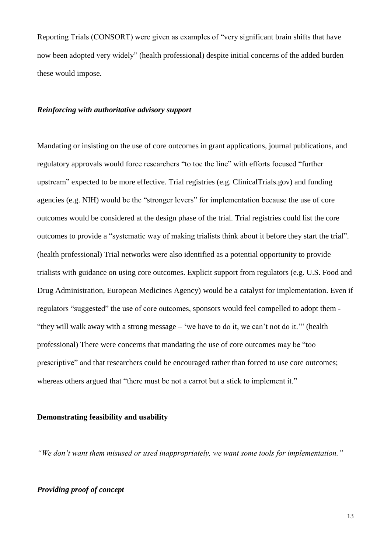Reporting Trials (CONSORT) were given as examples of "very significant brain shifts that have now been adopted very widely" (health professional) despite initial concerns of the added burden these would impose.

#### *Reinforcing with authoritative advisory support*

Mandating or insisting on the use of core outcomes in grant applications, journal publications, and regulatory approvals would force researchers "to toe the line" with efforts focused "further upstream" expected to be more effective. Trial registries (e.g. ClinicalTrials.gov) and funding agencies (e.g. NIH) would be the "stronger levers" for implementation because the use of core outcomes would be considered at the design phase of the trial. Trial registries could list the core outcomes to provide a "systematic way of making trialists think about it before they start the trial". (health professional) Trial networks were also identified as a potential opportunity to provide trialists with guidance on using core outcomes. Explicit support from regulators (e.g. U.S. Food and Drug Administration, European Medicines Agency) would be a catalyst for implementation. Even if regulators "suggested" the use of core outcomes, sponsors would feel compelled to adopt them - "they will walk away with a strong message – 'we have to do it, we can't not do it.'" (health professional) There were concerns that mandating the use of core outcomes may be "too prescriptive" and that researchers could be encouraged rather than forced to use core outcomes; whereas others argued that "there must be not a carrot but a stick to implement it."

#### **Demonstrating feasibility and usability**

*"We don't want them misused or used inappropriately, we want some tools for implementation."*

#### *Providing proof of concept*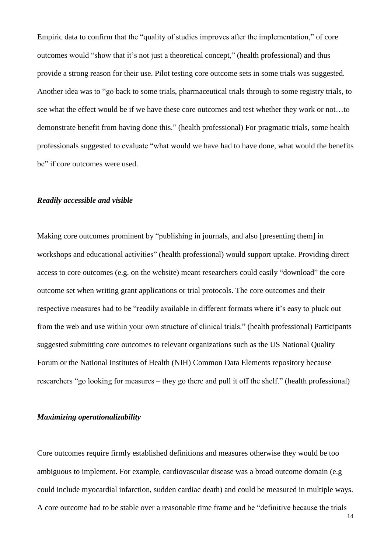Empiric data to confirm that the "quality of studies improves after the implementation," of core outcomes would "show that it's not just a theoretical concept," (health professional) and thus provide a strong reason for their use. Pilot testing core outcome sets in some trials was suggested. Another idea was to "go back to some trials, pharmaceutical trials through to some registry trials, to see what the effect would be if we have these core outcomes and test whether they work or not…to demonstrate benefit from having done this." (health professional) For pragmatic trials, some health professionals suggested to evaluate "what would we have had to have done, what would the benefits be" if core outcomes were used.

#### *Readily accessible and visible*

Making core outcomes prominent by "publishing in journals, and also [presenting them] in workshops and educational activities" (health professional) would support uptake. Providing direct access to core outcomes (e.g. on the website) meant researchers could easily "download" the core outcome set when writing grant applications or trial protocols. The core outcomes and their respective measures had to be "readily available in different formats where it's easy to pluck out from the web and use within your own structure of clinical trials." (health professional) Participants suggested submitting core outcomes to relevant organizations such as the US National Quality Forum or the National Institutes of Health (NIH) Common Data Elements repository because researchers "go looking for measures – they go there and pull it off the shelf." (health professional)

#### *Maximizing operationalizability*

Core outcomes require firmly established definitions and measures otherwise they would be too ambiguous to implement. For example, cardiovascular disease was a broad outcome domain (e.g could include myocardial infarction, sudden cardiac death) and could be measured in multiple ways. A core outcome had to be stable over a reasonable time frame and be "definitive because the trials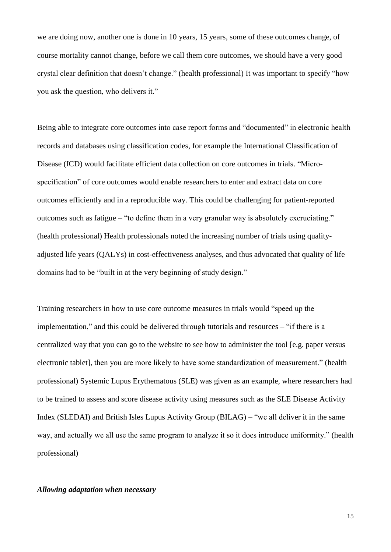we are doing now, another one is done in 10 years, 15 years, some of these outcomes change, of course mortality cannot change, before we call them core outcomes, we should have a very good crystal clear definition that doesn't change." (health professional) It was important to specify "how you ask the question, who delivers it."

Being able to integrate core outcomes into case report forms and "documented" in electronic health records and databases using classification codes, for example the International Classification of Disease (ICD) would facilitate efficient data collection on core outcomes in trials. "Microspecification" of core outcomes would enable researchers to enter and extract data on core outcomes efficiently and in a reproducible way. This could be challenging for patient-reported outcomes such as fatigue – "to define them in a very granular way is absolutely excruciating." (health professional) Health professionals noted the increasing number of trials using qualityadjusted life years (QALYs) in cost-effectiveness analyses, and thus advocated that quality of life domains had to be "built in at the very beginning of study design."

Training researchers in how to use core outcome measures in trials would "speed up the implementation," and this could be delivered through tutorials and resources – "if there is a centralized way that you can go to the website to see how to administer the tool [e.g. paper versus electronic tablet], then you are more likely to have some standardization of measurement." (health professional) Systemic Lupus Erythematous (SLE) was given as an example, where researchers had to be trained to assess and score disease activity using measures such as the SLE Disease Activity Index (SLEDAI) and British Isles Lupus Activity Group (BILAG) – "we all deliver it in the same way, and actually we all use the same program to analyze it so it does introduce uniformity." (health professional)

#### *Allowing adaptation when necessary*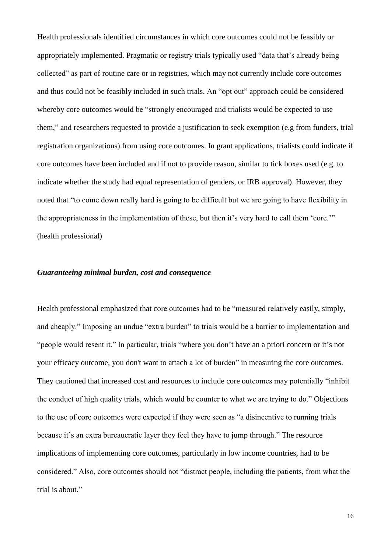Health professionals identified circumstances in which core outcomes could not be feasibly or appropriately implemented. Pragmatic or registry trials typically used "data that's already being collected" as part of routine care or in registries, which may not currently include core outcomes and thus could not be feasibly included in such trials. An "opt out" approach could be considered whereby core outcomes would be "strongly encouraged and trialists would be expected to use them," and researchers requested to provide a justification to seek exemption (e.g from funders, trial registration organizations) from using core outcomes. In grant applications, trialists could indicate if core outcomes have been included and if not to provide reason, similar to tick boxes used (e.g. to indicate whether the study had equal representation of genders, or IRB approval). However, they noted that "to come down really hard is going to be difficult but we are going to have flexibility in the appropriateness in the implementation of these, but then it's very hard to call them 'core.'" (health professional)

#### *Guaranteeing minimal burden, cost and consequence*

Health professional emphasized that core outcomes had to be "measured relatively easily, simply, and cheaply." Imposing an undue "extra burden" to trials would be a barrier to implementation and "people would resent it." In particular, trials "where you don't have an a priori concern or it's not your efficacy outcome, you don't want to attach a lot of burden" in measuring the core outcomes. They cautioned that increased cost and resources to include core outcomes may potentially "inhibit the conduct of high quality trials, which would be counter to what we are trying to do." Objections to the use of core outcomes were expected if they were seen as "a disincentive to running trials because it's an extra bureaucratic layer they feel they have to jump through." The resource implications of implementing core outcomes, particularly in low income countries, had to be considered." Also, core outcomes should not "distract people, including the patients, from what the trial is about."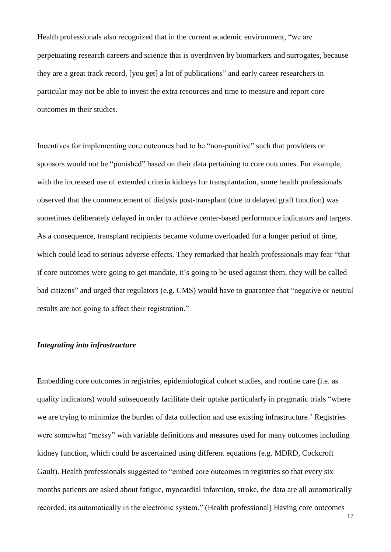Health professionals also recognized that in the current academic environment, "we are perpetuating research careers and science that is overdriven by biomarkers and surrogates, because they are a great track record, [you get] a lot of publications" and early career researchers in particular may not be able to invest the extra resources and time to measure and report core outcomes in their studies.

Incentives for implementing core outcomes had to be "non-punitive" such that providers or sponsors would not be "punished" based on their data pertaining to core outcomes. For example, with the increased use of extended criteria kidneys for transplantation, some health professionals observed that the commencement of dialysis post-transplant (due to delayed graft function) was sometimes deliberately delayed in order to achieve center-based performance indicators and targets. As a consequence, transplant recipients became volume overloaded for a longer period of time, which could lead to serious adverse effects. They remarked that health professionals may fear "that if core outcomes were going to get mandate, it's going to be used against them, they will be called bad citizens" and urged that regulators (e.g. CMS) would have to guarantee that "negative or neutral results are not going to affect their registration."

#### *Integrating into infrastructure*

Embedding core outcomes in registries, epidemiological cohort studies, and routine care (i.e. as quality indicators) would subsequently facilitate their uptake particularly in pragmatic trials "where we are trying to minimize the burden of data collection and use existing infrastructure.' Registries were somewhat "messy" with variable definitions and measures used for many outcomes including kidney function, which could be ascertained using different equations (e.g. MDRD, Cockcroft Gault). Health professionals suggested to "embed core outcomes in registries so that every six months patients are asked about fatigue, myocardial infarction, stroke, the data are all automatically recorded, its automatically in the electronic system." (Health professional) Having core outcomes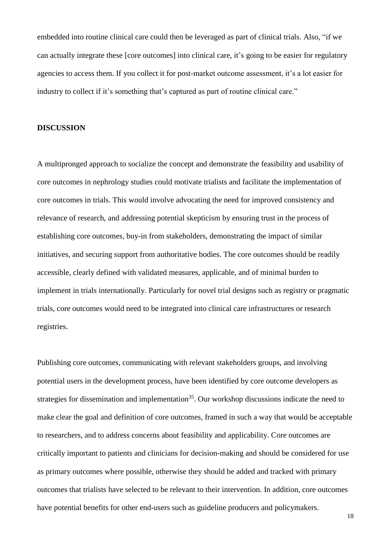embedded into routine clinical care could then be leveraged as part of clinical trials. Also, "if we can actually integrate these [core outcomes] into clinical care, it's going to be easier for regulatory agencies to access them. If you collect it for post-market outcome assessment, it's a lot easier for industry to collect if it's something that's captured as part of routine clinical care."

#### **DISCUSSION**

A multipronged approach to socialize the concept and demonstrate the feasibility and usability of core outcomes in nephrology studies could motivate trialists and facilitate the implementation of core outcomes in trials. This would involve advocating the need for improved consistency and relevance of research, and addressing potential skepticism by ensuring trust in the process of establishing core outcomes, buy-in from stakeholders, demonstrating the impact of similar initiatives, and securing support from authoritative bodies. The core outcomes should be readily accessible, clearly defined with validated measures, applicable, and of minimal burden to implement in trials internationally. Particularly for novel trial designs such as registry or pragmatic trials, core outcomes would need to be integrated into clinical care infrastructures or research registries.

Publishing core outcomes, communicating with relevant stakeholders groups, and involving potential users in the development process, have been identified by core outcome developers as strategies for dissemination and implementation<sup>[35](#page-26-1)</sup>. Our workshop discussions indicate the need to make clear the goal and definition of core outcomes, framed in such a way that would be acceptable to researchers, and to address concerns about feasibility and applicability. Core outcomes are critically important to patients and clinicians for decision-making and should be considered for use as primary outcomes where possible, otherwise they should be added and tracked with primary outcomes that trialists have selected to be relevant to their intervention. In addition, core outcomes have potential benefits for other end-users such as guideline producers and policymakers.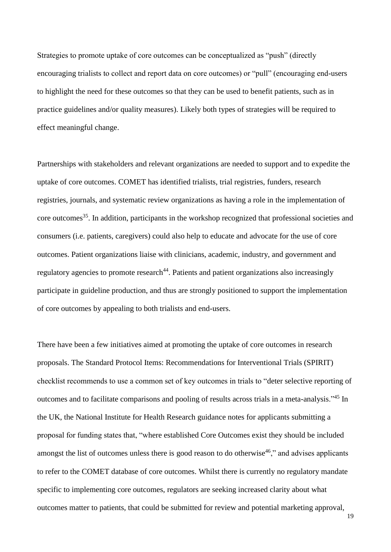Strategies to promote uptake of core outcomes can be conceptualized as "push" (directly encouraging trialists to collect and report data on core outcomes) or "pull" (encouraging end-users to highlight the need for these outcomes so that they can be used to benefit patients, such as in practice guidelines and/or quality measures). Likely both types of strategies will be required to effect meaningful change.

Partnerships with stakeholders and relevant organizations are needed to support and to expedite the uptake of core outcomes. COMET has identified trialists, trial registries, funders, research registries, journals, and systematic review organizations as having a role in the implementation of core outcomes<sup>[35](#page-26-1)</sup>. In addition, participants in the workshop recognized that professional societies and consumers (i.e. patients, caregivers) could also help to educate and advocate for the use of core outcomes. Patient organizations liaise with clinicians, academic, industry, and government and regulatory agencies to promote research<sup>[44](#page-27-3)</sup>. Patients and patient organizations also increasingly participate in guideline production, and thus are strongly positioned to support the implementation of core outcomes by appealing to both trialists and end-users.

There have been a few initiatives aimed at promoting the uptake of core outcomes in research proposals. The Standard Protocol Items: Recommendations for Interventional Trials (SPIRIT) checklist recommends to use a common set of key outcomes in trials to "deter selective reporting of outcomes and to facilitate comparisons and pooling of results across trials in a meta-analysis."[45](#page-27-4) In the UK, the National Institute for Health Research guidance notes for applicants submitting a proposal for funding states that, "where established Core Outcomes exist they should be included amongst the list of outcomes unless there is good reason to do otherwise<sup>[46](#page-27-5)</sup>," and advises applicants to refer to the COMET database of core outcomes. Whilst there is currently no regulatory mandate specific to implementing core outcomes, regulators are seeking increased clarity about what outcomes matter to patients, that could be submitted for review and potential marketing approval,

19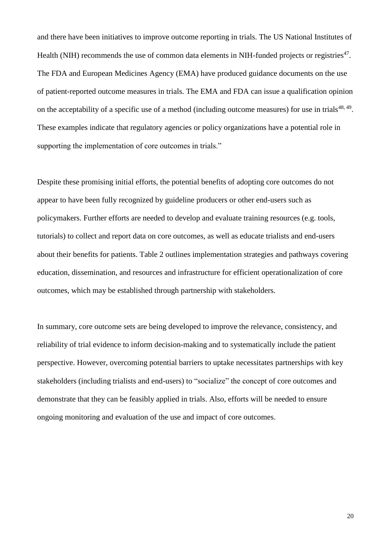and there have been initiatives to improve outcome reporting in trials. The US National Institutes of Health (NIH) recommends the use of common data elements in NIH-funded projects or registries $47$ . The FDA and European Medicines Agency (EMA) have produced guidance documents on the use of patient-reported outcome measures in trials. The EMA and FDA can issue a qualification opinion on the acceptability of a specific use of a method (including outcome measures) for use in trials<sup>[48,](#page-28-1) [49](#page-28-2)</sup>. These examples indicate that regulatory agencies or policy organizations have a potential role in supporting the implementation of core outcomes in trials."

Despite these promising initial efforts, the potential benefits of adopting core outcomes do not appear to have been fully recognized by guideline producers or other end-users such as policymakers. Further efforts are needed to develop and evaluate training resources (e.g. tools, tutorials) to collect and report data on core outcomes, as well as educate trialists and end-users about their benefits for patients. Table 2 outlines implementation strategies and pathways covering education, dissemination, and resources and infrastructure for efficient operationalization of core outcomes, which may be established through partnership with stakeholders.

In summary, core outcome sets are being developed to improve the relevance, consistency, and reliability of trial evidence to inform decision-making and to systematically include the patient perspective. However, overcoming potential barriers to uptake necessitates partnerships with key stakeholders (including trialists and end-users) to "socialize" the concept of core outcomes and demonstrate that they can be feasibly applied in trials. Also, efforts will be needed to ensure ongoing monitoring and evaluation of the use and impact of core outcomes.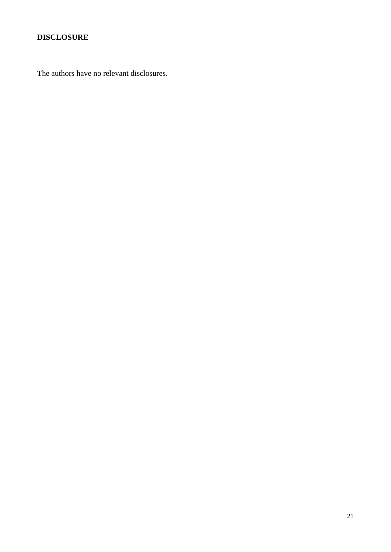## **DISCLOSURE**

The authors have no relevant disclosures.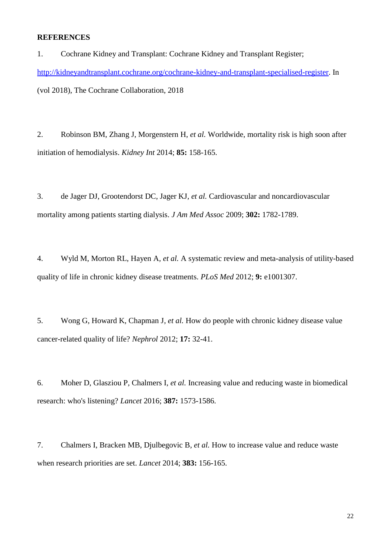## **REFERENCES**

<span id="page-21-0"></span>1. Cochrane Kidney and Transplant: Cochrane Kidney and Transplant Register; [http://kidneyandtransplant.cochrane.org/cochrane-kidney-and-transplant-specialised-register.](http://kidneyandtransplant.cochrane.org/cochrane-kidney-and-transplant-specialised-register) In (vol 2018), The Cochrane Collaboration, 2018

<span id="page-21-1"></span>2. Robinson BM, Zhang J, Morgenstern H*, et al.* Worldwide, mortality risk is high soon after initiation of hemodialysis. *Kidney Int* 2014; **85:** 158-165.

<span id="page-21-2"></span>3. de Jager DJ, Grootendorst DC, Jager KJ*, et al.* Cardiovascular and noncardiovascular mortality among patients starting dialysis. *J Am Med Assoc* 2009; **302:** 1782-1789.

<span id="page-21-3"></span>4. Wyld M, Morton RL, Hayen A*, et al.* A systematic review and meta-analysis of utility-based quality of life in chronic kidney disease treatments. *PLoS Med* 2012; **9:** e1001307.

<span id="page-21-4"></span>5. Wong G, Howard K, Chapman J*, et al.* How do people with chronic kidney disease value cancer-related quality of life? *Nephrol* 2012; **17:** 32-41.

<span id="page-21-5"></span>6. Moher D, Glasziou P, Chalmers I*, et al.* Increasing value and reducing waste in biomedical research: who's listening? *Lancet* 2016; **387:** 1573-1586.

<span id="page-21-6"></span>7. Chalmers I, Bracken MB, Djulbegovic B*, et al.* How to increase value and reduce waste when research priorities are set. *Lancet* 2014; **383:** 156-165.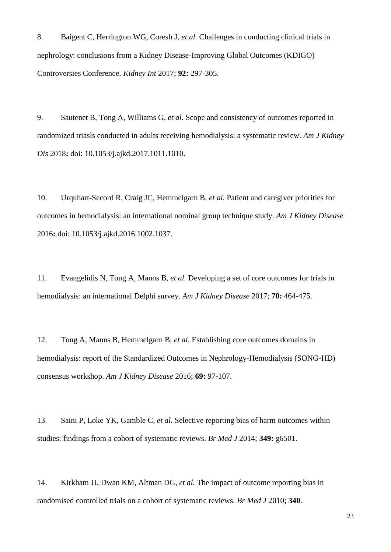<span id="page-22-0"></span>8. Baigent C, Herrington WG, Coresh J*, et al.* Challenges in conducting clinical trials in nephrology: conclusions from a Kidney Disease-Improving Global Outcomes (KDIGO) Controversies Conference. *Kidney Int* 2017; **92:** 297-305.

<span id="page-22-1"></span>9. Sautenet B, Tong A, Williams G*, et al.* Scope and consistency of outcomes reported in randomized triasls conducted in adults receiving hemodialysis: a systematic review. *Am J Kidney Dis* 2018**:** doi: 10.1053/j.ajkd.2017.1011.1010.

<span id="page-22-2"></span>10. Urquhart-Secord R, Craig JC, Hemmelgarn B*, et al.* Patient and caregiver priorities for outcomes in hemodialysis: an international nominal group technique study. *Am J Kidney Disease* 2016**:** doi: 10.1053/j.ajkd.2016.1002.1037.

11. Evangelidis N, Tong A, Manns B*, et al.* Developing a set of core outcomes for trials in hemodialysis: an international Delphi survey. *Am J Kidney Disease* 2017; **70:** 464-475.

12. Tong A, Manns B, Hemmelgarn B*, et al.* Establishing core outcomes domains in hemodialysis: report of the Standardized Outcomes in Nephrology-Hemodialysis (SONG-HD) consensus workshop. *Am J Kidney Disease* 2016; **69:** 97-107.

<span id="page-22-3"></span>13. Saini P, Loke YK, Gamble C*, et al.* Selective reporting bias of harm outcomes within studies: findings from a cohort of systematic reviews. *Br Med J* 2014; **349:** g6501.

<span id="page-22-4"></span>14. Kirkham JJ, Dwan KM, Altman DG*, et al.* The impact of outcome reporting bias in randomised controlled trials on a cohort of systematic reviews. *Br Med J* 2010; **340**.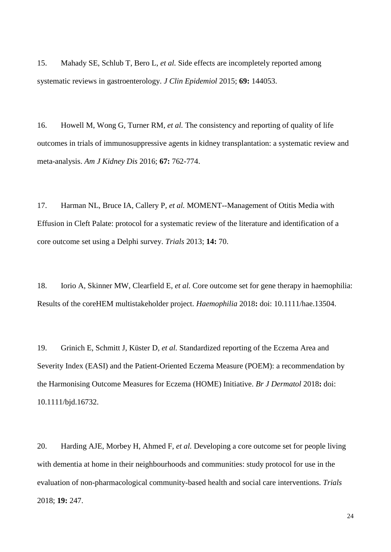15. Mahady SE, Schlub T, Bero L*, et al.* Side effects are incompletely reported among systematic reviews in gastroenterology. *J Clin Epidemiol* 2015; **69:** 144053.

<span id="page-23-0"></span>16. Howell M, Wong G, Turner RM*, et al.* The consistency and reporting of quality of life outcomes in trials of immunosuppressive agents in kidney transplantation: a systematic review and meta-analysis. *Am J Kidney Dis* 2016; **67:** 762-774.

<span id="page-23-1"></span>17. Harman NL, Bruce IA, Callery P*, et al.* MOMENT--Management of Otitis Media with Effusion in Cleft Palate: protocol for a systematic review of the literature and identification of a core outcome set using a Delphi survey. *Trials* 2013; **14:** 70.

18. Iorio A, Skinner MW, Clearfield E*, et al.* Core outcome set for gene therapy in haemophilia: Results of the coreHEM multistakeholder project. *Haemophilia* 2018**:** doi: 10.1111/hae.13504.

19. Grinich E, Schmitt J, Küster D*, et al.* Standardized reporting of the Eczema Area and Severity Index (EASI) and the Patient-Oriented Eczema Measure (POEM): a recommendation by the Harmonising Outcome Measures for Eczema (HOME) Initiative. *Br J Dermatol* 2018**:** doi: 10.1111/bjd.16732.

20. Harding AJE, Morbey H, Ahmed F*, et al.* Developing a core outcome set for people living with dementia at home in their neighbourhoods and communities: study protocol for use in the evaluation of non-pharmacological community-based health and social care interventions. *Trials* 2018; **19:** 247.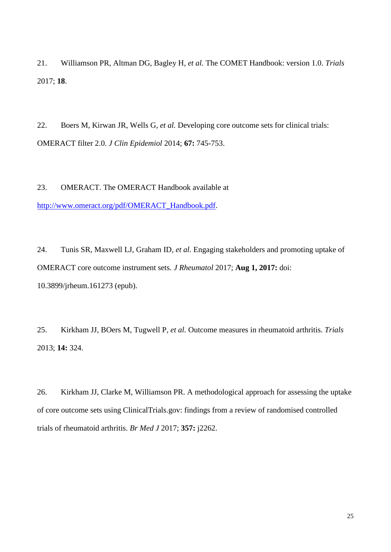<span id="page-24-0"></span>21. Williamson PR, Altman DG, Bagley H*, et al.* The COMET Handbook: version 1.0. *Trials* 2017; **18**.

<span id="page-24-1"></span>22. Boers M, Kirwan JR, Wells G*, et al.* Developing core outcome sets for clinical trials: OMERACT filter 2.0. *J Clin Epidemiol* 2014; **67:** 745-753.

23. OMERACT. The OMERACT Handbook available at

[http://www.omeract.org/pdf/OMERACT\\_Handbook.pdf.](http://www.omeract.org/pdf/OMERACT_Handbook.pdf)

24. Tunis SR, Maxwell LJ, Graham ID*, et al.* Engaging stakeholders and promoting uptake of OMERACT core outcome instrument sets. *J Rheumatol* 2017; **Aug 1, 2017:** doi: 10.3899/jrheum.161273 (epub).

<span id="page-24-2"></span>25. Kirkham JJ, BOers M, Tugwell P*, et al.* Outcome measures in rheumatoid arthritis. *Trials* 2013; **14:** 324.

<span id="page-24-3"></span>26. Kirkham JJ, Clarke M, Williamson PR. A methodological approach for assessing the uptake of core outcome sets using ClinicalTrials.gov: findings from a review of randomised controlled trials of rheumatoid arthritis. *Br Med J* 2017; **357:** j2262.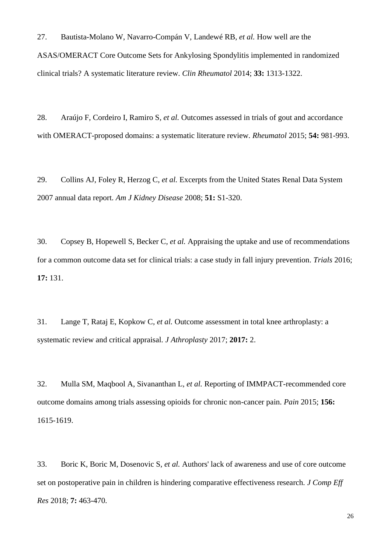27. Bautista-Molano W, Navarro-Compán V, Landewé RB*, et al.* How well are the ASAS/OMERACT Core Outcome Sets for Ankylosing Spondylitis implemented in randomized clinical trials? A systematic literature review. *Clin Rheumatol* 2014; **33:** 1313-1322.

28. Araújo F, Cordeiro I, Ramiro S*, et al.* Outcomes assessed in trials of gout and accordance with OMERACT-proposed domains: a systematic literature review. *Rheumatol* 2015; **54:** 981-993.

29. Collins AJ, Foley R, Herzog C*, et al.* Excerpts from the United States Renal Data System 2007 annual data report. *Am J Kidney Disease* 2008; **51:** S1-320.

30. Copsey B, Hopewell S, Becker C*, et al.* Appraising the uptake and use of recommendations for a common outcome data set for clinical trials: a case study in fall injury prevention. *Trials* 2016; **17:** 131.

31. Lange T, Rataj E, Kopkow C*, et al.* Outcome assessment in total knee arthroplasty: a systematic review and critical appraisal. *J Athroplasty* 2017; **2017:** 2.

32. Mulla SM, Maqbool A, Sivananthan L*, et al.* Reporting of IMMPACT-recommended core outcome domains among trials assessing opioids for chronic non-cancer pain. *Pain* 2015; **156:**  1615-1619.

<span id="page-25-0"></span>33. Boric K, Boric M, Dosenovic S*, et al.* Authors' lack of awareness and use of core outcome set on postoperative pain in children is hindering comparative effectiveness research. *J Comp Eff Res* 2018; **7:** 463-470.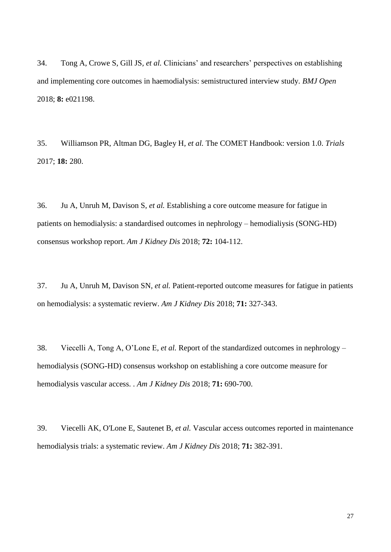<span id="page-26-0"></span>34. Tong A, Crowe S, Gill JS*, et al.* Clinicians' and researchers' perspectives on establishing and implementing core outcomes in haemodialysis: semistructured interview study. *BMJ Open* 2018; **8:** e021198.

<span id="page-26-1"></span>35. Williamson PR, Altman DG, Bagley H*, et al.* The COMET Handbook: version 1.0. *Trials* 2017; **18:** 280.

<span id="page-26-2"></span>36. Ju A, Unruh M, Davison S*, et al.* Establishing a core outcome measure for fatigue in patients on hemodialysis: a standardised outcomes in nephrology – hemodialiysis (SONG-HD) consensus workshop report. *Am J Kidney Dis* 2018; **72:** 104-112.

37. Ju A, Unruh M, Davison SN*, et al.* Patient-reported outcome measures for fatigue in patients on hemodialysis: a systematic revierw. *Am J Kidney Dis* 2018; **71:** 327-343.

<span id="page-26-3"></span>38. Viecelli A, Tong A, O'Lone E*, et al.* Report of the standardized outcomes in nephrology – hemodialysis (SONG-HD) consensus workshop on establishing a core outcome measure for hemodialysis vascular access. . *Am J Kidney Dis* 2018; **71:** 690-700.

<span id="page-26-4"></span>39. Viecelli AK, O'Lone E, Sautenet B*, et al.* Vascular access outcomes reported in maintenance hemodialysis trials: a systematic review. *Am J Kidney Dis* 2018; **71:** 382-391.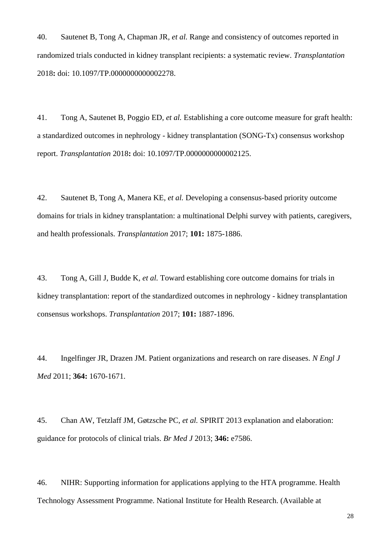<span id="page-27-0"></span>40. Sautenet B, Tong A, Chapman JR*, et al.* Range and consistency of outcomes reported in randomized trials conducted in kidney transplant recipients: a systematic review. *Transplantation* 2018**:** doi: 10.1097/TP.0000000000002278.

<span id="page-27-1"></span>41. Tong A, Sautenet B, Poggio ED*, et al.* Establishing a core outcome measure for graft health: a standardized outcomes in nephrology - kidney transplantation (SONG-Tx) consensus workshop report. *Transplantation* 2018**:** doi: 10.1097/TP.0000000000002125.

<span id="page-27-2"></span>42. Sautenet B, Tong A, Manera KE*, et al.* Developing a consensus-based priority outcome domains for trials in kidney transplantation: a multinational Delphi survey with patients, caregivers, and health professionals. *Transplantation* 2017; **101:** 1875-1886.

43. Tong A, Gill J, Budde K*, et al.* Toward establishing core outcome domains for trials in kidney transplantation: report of the standardized outcomes in nephrology - kidney transplantation consensus workshops. *Transplantation* 2017; **101:** 1887-1896.

<span id="page-27-3"></span>44. Ingelfinger JR, Drazen JM. Patient organizations and research on rare diseases. *N Engl J Med* 2011; **364:** 1670-1671.

<span id="page-27-4"></span>45. Chan AW, Tetzlaff JM, Gøtzsche PC*, et al.* SPIRIT 2013 explanation and elaboration: guidance for protocols of clinical trials. *Br Med J* 2013; **346:** e7586.

<span id="page-27-5"></span>46. NIHR: Supporting information for applications applying to the HTA programme. Health Technology Assessment Programme. National Institute for Health Research. (Available at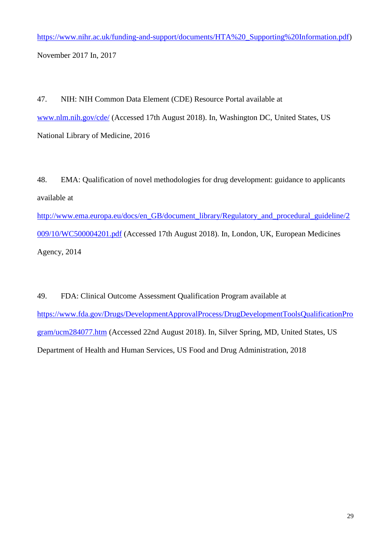[https://www.nihr.ac.uk/funding-and-support/documents/HTA%20\\_Supporting%20Information.pdf\)](https://www.nihr.ac.uk/funding-and-support/documents/HTA%20_Supporting%20Information.pdf) November 2017 In, 2017

<span id="page-28-0"></span>47. NIH: NIH Common Data Element (CDE) Resource Portal available at [www.nlm.nih.gov/cde/](/Users/allisontong/Dropbox%20(Sydney%20Uni)/A%20SONG%20Initiative/Dissemination%20and%20implementation/New%20Orleans%202017%20Implementation%20Workshop/Manuscript/Kidney%20International/Submission/R1/www.nlm.nih.gov/cde) (Accessed 17th August 2018). In, Washington DC, United States, US National Library of Medicine, 2016

<span id="page-28-1"></span>48. EMA: Qualification of novel methodologies for drug development: guidance to applicants available at [http://www.ema.europa.eu/docs/en\\_GB/document\\_library/Regulatory\\_and\\_procedural\\_guideline/2](http://www.ema.europa.eu/docs/en_GB/document_library/Regulatory_and_procedural_guideline/2009/10/WC500004201.pdf) [009/10/WC500004201.pdf](http://www.ema.europa.eu/docs/en_GB/document_library/Regulatory_and_procedural_guideline/2009/10/WC500004201.pdf) (Accessed 17th August 2018). In, London, UK, European Medicines Agency, 2014

<span id="page-28-2"></span>49. FDA: Clinical Outcome Assessment Qualification Program available at [https://www.fda.gov/Drugs/DevelopmentApprovalProcess/DrugDevelopmentToolsQualificationPro](https://www.fda.gov/Drugs/DevelopmentApprovalProcess/DrugDevelopmentToolsQualificationProgram/ucm284077.htm) [gram/ucm284077.htm](https://www.fda.gov/Drugs/DevelopmentApprovalProcess/DrugDevelopmentToolsQualificationProgram/ucm284077.htm) (Accessed 22nd August 2018). In, Silver Spring, MD, United States, US Department of Health and Human Services, US Food and Drug Administration, 2018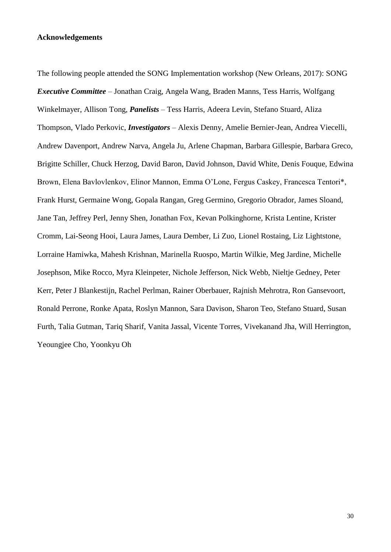#### **Acknowledgements**

The following people attended the SONG Implementation workshop (New Orleans, 2017): SONG *Executive Committee* – Jonathan Craig, Angela Wang, Braden Manns, Tess Harris, Wolfgang Winkelmayer, Allison Tong, *Panelists* – Tess Harris, Adeera Levin, Stefano Stuard, Aliza Thompson, Vlado Perkovic, *Investigators* – Alexis Denny, Amelie Bernier-Jean, Andrea Viecelli, Andrew Davenport, Andrew Narva, Angela Ju, Arlene Chapman, Barbara Gillespie, Barbara Greco, Brigitte Schiller, Chuck Herzog, David Baron, David Johnson, David White, Denis Fouque, Edwina Brown, Elena Bavlovlenkov, Elinor Mannon, Emma O'Lone, Fergus Caskey, Francesca Tentori\*, Frank Hurst, Germaine Wong, Gopala Rangan, Greg Germino, Gregorio Obrador, James Sloand, Jane Tan, Jeffrey Perl, Jenny Shen, Jonathan Fox, Kevan Polkinghorne, Krista Lentine, Krister Cromm, Lai-Seong Hooi, Laura James, Laura Dember, Li Zuo, Lionel Rostaing, Liz Lightstone, Lorraine Hamiwka, Mahesh Krishnan, Marinella Ruospo, Martin Wilkie, Meg Jardine, Michelle Josephson, Mike Rocco, Myra Kleinpeter, Nichole Jefferson, Nick Webb, Nieltje Gedney, Peter Kerr, Peter J Blankestijn, Rachel Perlman, Rainer Oberbauer, Rajnish Mehrotra, Ron Gansevoort, Ronald Perrone, Ronke Apata, Roslyn Mannon, Sara Davison, Sharon Teo, Stefano Stuard, Susan Furth, Talia Gutman, Tariq Sharif, Vanita Jassal, Vicente Torres, Vivekanand Jha, Will Herrington, Yeoungjee Cho, Yoonkyu Oh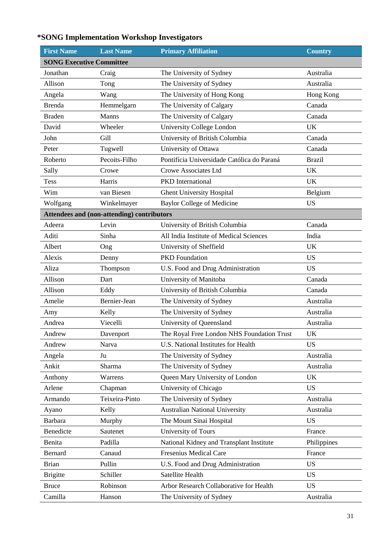## **\*SONG Implementation Workshop Investigators**

| <b>First Name</b>               | <b>Last Name</b>                           | <b>Primary Affiliation</b><br><b>Country</b> |               |  |  |  |  |
|---------------------------------|--------------------------------------------|----------------------------------------------|---------------|--|--|--|--|
| <b>SONG Executive Committee</b> |                                            |                                              |               |  |  |  |  |
| Jonathan                        | Craig                                      | The University of Sydney                     | Australia     |  |  |  |  |
| Allison                         | Tong                                       | The University of Sydney                     | Australia     |  |  |  |  |
| Angela                          | Wang                                       | The University of Hong Kong                  | Hong Kong     |  |  |  |  |
| <b>Brenda</b>                   | Hemmelgarn                                 | The University of Calgary                    | Canada        |  |  |  |  |
| <b>Braden</b>                   | Manns                                      | The University of Calgary                    | Canada        |  |  |  |  |
| David                           | Wheeler                                    | University College London                    | <b>UK</b>     |  |  |  |  |
| John                            | Gill                                       | University of British Columbia               | Canada        |  |  |  |  |
| Peter                           | Tugwell                                    | University of Ottawa                         | Canada        |  |  |  |  |
| Roberto                         | Pecoits-Filho                              | Pontifícia Universidade Católica do Paraná   | <b>Brazil</b> |  |  |  |  |
| Sally                           | Crowe                                      | Crowe Associates Ltd                         | <b>UK</b>     |  |  |  |  |
| <b>Tess</b>                     | Harris                                     | PKD International                            | <b>UK</b>     |  |  |  |  |
| Wim                             | van Biesen                                 | <b>Ghent University Hospital</b>             | Belgium       |  |  |  |  |
| Wolfgang                        | Winkelmayer                                | <b>Baylor College of Medicine</b>            | <b>US</b>     |  |  |  |  |
|                                 | Attendees and (non-attending) contributors |                                              |               |  |  |  |  |
| Adeera                          | Levin                                      | University of British Columbia               | Canada        |  |  |  |  |
| Aditi                           | Sinha                                      | All India Institute of Medical Sciences      | India         |  |  |  |  |
| Albert                          | Ong                                        | University of Sheffield                      | UK            |  |  |  |  |
| Alexis                          | Denny                                      | <b>PKD</b> Foundation                        | <b>US</b>     |  |  |  |  |
| Aliza                           | Thompson                                   | U.S. Food and Drug Administration            | <b>US</b>     |  |  |  |  |
| Allison                         | Dart                                       | University of Manitoba                       | Canada        |  |  |  |  |
| Allison                         | Eddy                                       | University of British Columbia               | Canada        |  |  |  |  |
| Amelie                          | Bernier-Jean                               | The University of Sydney                     | Australia     |  |  |  |  |
| Amy                             | Kelly                                      | The University of Sydney                     | Australia     |  |  |  |  |
| Andrea                          | Viecelli                                   | University of Queensland                     | Australia     |  |  |  |  |
| Andrew                          | Davenport                                  | The Royal Free London NHS Foundation Trust   | UK            |  |  |  |  |
| Andrew                          | Narva                                      | U.S. National Institutes for Health          | <b>US</b>     |  |  |  |  |
| Angela                          | Ju                                         | The University of Sydney                     | Australia     |  |  |  |  |
| Ankit                           | Sharma                                     | The University of Sydney                     | Australia     |  |  |  |  |
| Anthony                         | Warrens                                    | Queen Mary University of London              | <b>UK</b>     |  |  |  |  |
| Arlene                          | Chapman                                    | University of Chicago                        | <b>US</b>     |  |  |  |  |
| Armando                         | Teixeira-Pinto                             | The University of Sydney                     | Australia     |  |  |  |  |
| Ayano                           | Kelly                                      | <b>Australian National University</b>        | Australia     |  |  |  |  |
| <b>Barbara</b>                  | Murphy                                     | The Mount Sinai Hospital                     | <b>US</b>     |  |  |  |  |
| Benedicte                       | Sautenet                                   | University of Tours                          | France        |  |  |  |  |
| Benita                          | Padilla                                    | National Kidney and Transplant Institute     | Philippines   |  |  |  |  |
| Bernard                         | Canaud                                     | Fresenius Medical Care                       | France        |  |  |  |  |
| <b>Brian</b>                    | Pullin                                     | U.S. Food and Drug Administration            | <b>US</b>     |  |  |  |  |
| <b>Brigitte</b>                 | Schiller                                   | Satellite Health                             | <b>US</b>     |  |  |  |  |
| <b>Bruce</b>                    | Robinson                                   | Arbor Research Collaborative for Health      | <b>US</b>     |  |  |  |  |
| Camilla                         | Hanson                                     | The University of Sydney                     | Australia     |  |  |  |  |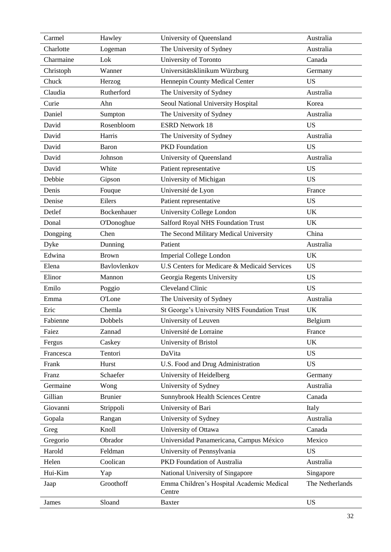| Carmel    | Hawley            | University of Queensland                            | Australia       |
|-----------|-------------------|-----------------------------------------------------|-----------------|
| Charlotte | Logeman           | The University of Sydney                            | Australia       |
| Charmaine | Lok               | University of Toronto                               | Canada          |
| Christoph | Wanner            | Universitätsklinikum Würzburg                       | Germany         |
| Chuck     | Herzog            | Hennepin County Medical Center                      | <b>US</b>       |
| Claudia   | Rutherford        | The University of Sydney                            | Australia       |
| Curie     | Ahn               | Seoul National University Hospital                  | Korea           |
| Daniel    | Sumpton           | The University of Sydney                            | Australia       |
| David     | Rosenbloom        | <b>ESRD Network 18</b>                              | <b>US</b>       |
| David     | Harris            | The University of Sydney                            | Australia       |
| David     | <b>Baron</b>      | <b>PKD</b> Foundation                               | <b>US</b>       |
| David     | Johnson           | University of Queensland                            | Australia       |
| David     | White             | Patient representative                              | <b>US</b>       |
| Debbie    | Gipson            | University of Michigan                              | <b>US</b>       |
| Denis     | Fouque            | Université de Lyon                                  | France          |
| Denise    | Eilers            | Patient representative                              | <b>US</b>       |
| Detlef    | Bockenhauer       | University College London                           | UK              |
| Donal     | <b>O'Donoghue</b> | Salford Royal NHS Foundation Trust                  | UK              |
| Dongping  | Chen              | The Second Military Medical University              | China           |
| Dyke      | Dunning           | Patient                                             | Australia       |
| Edwina    | <b>Brown</b>      | <b>Imperial College London</b>                      | <b>UK</b>       |
| Elena     | Bavlovlenkov      | U.S Centers for Medicare & Medicaid Services        | <b>US</b>       |
| Elinor    | Mannon            | Georgia Regents University                          | <b>US</b>       |
| Emilo     | Poggio            | <b>Cleveland Clinic</b>                             | <b>US</b>       |
| Emma      | <b>O'Lone</b>     | The University of Sydney                            | Australia       |
| Eric      | Chemla            | St George's University NHS Foundation Trust         | <b>UK</b>       |
| Fabienne  | Dobbels           | University of Leuven                                | Belgium         |
| Faiez     | Zannad            | Université de Lorraine                              | France          |
| Fergus    | Caskey            | University of Bristol                               | <b>UK</b>       |
| Francesca | Tentori           | DaVita                                              | <b>US</b>       |
| Frank     | Hurst             | U.S. Food and Drug Administration                   | <b>US</b>       |
| Franz     | Schaefer          | University of Heidelberg                            | Germany         |
| Germaine  | Wong              | University of Sydney                                | Australia       |
| Gillian   | <b>Brunier</b>    | <b>Sunnybrook Health Sciences Centre</b>            | Canada          |
| Giovanni  | Strippoli         | University of Bari                                  | Italy           |
| Gopala    | Rangan            | University of Sydney                                | Australia       |
| Greg      | Knoll             | University of Ottawa                                | Canada          |
| Gregorio  | Obrador           | Universidad Panamericana, Campus México             | Mexico          |
| Harold    | Feldman           | University of Pennsylvania                          | <b>US</b>       |
| Helen     | Coolican          | PKD Foundation of Australia                         | Australia       |
| Hui-Kim   | Yap               | National University of Singapore                    | Singapore       |
| Jaap      | Groothoff         | Emma Children's Hospital Academic Medical<br>Centre | The Netherlands |
| James     | Sloand            | <b>Baxter</b>                                       | <b>US</b>       |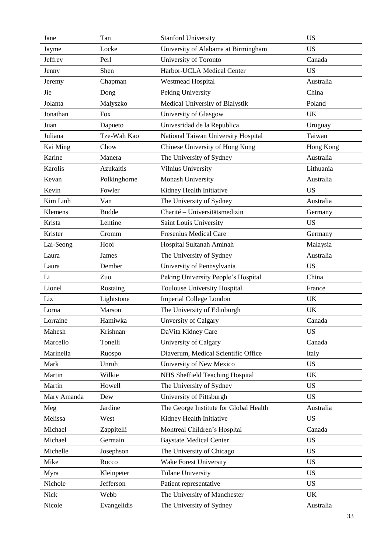| Jane        | Tan              | <b>Stanford University</b>             | <b>US</b> |  |  |
|-------------|------------------|----------------------------------------|-----------|--|--|
| Jayme       | Locke            | University of Alabama at Birmingham    | <b>US</b> |  |  |
| Jeffrey     | Perl             | University of Toronto                  | Canada    |  |  |
| Jenny       | Shen             | Harbor-UCLA Medical Center             | <b>US</b> |  |  |
| Jeremy      | Chapman          | <b>Westmead Hospital</b>               | Australia |  |  |
| Jie         | Dong             | Peking University                      | China     |  |  |
| Jolanta     | Malyszko         | Medical University of Bialystik        | Poland    |  |  |
| Jonathan    | <b>Fox</b>       | University of Glasgow                  | <b>UK</b> |  |  |
| Juan        | Dapueto          | Univesridad de la Republica            | Uruguay   |  |  |
| Juliana     | Tze-Wah Kao      | National Taiwan University Hospital    | Taiwan    |  |  |
| Kai Ming    | Chow             | Chinese University of Hong Kong        | Hong Kong |  |  |
| Karine      | Manera           | The University of Sydney               | Australia |  |  |
| Karolis     | <b>Azukaitis</b> | Vilnius University                     | Lithuania |  |  |
| Kevan       | Polkinghorne     | Monash University                      | Australia |  |  |
| Kevin       | Fowler           | Kidney Health Initiative               | <b>US</b> |  |  |
| Kim Linh    | Van              | The University of Sydney               | Australia |  |  |
| Klemens     | <b>Budde</b>     | Charité - Universitätsmedizin          | Germany   |  |  |
| Krista      | Lentine          | Saint Louis University                 | <b>US</b> |  |  |
| Krister     | Cromm            | <b>Fresenius Medical Care</b>          | Germany   |  |  |
| Lai-Seong   | Hooi             | Hospital Sultanah Aminah               | Malaysia  |  |  |
| Laura       | James            | Australia<br>The University of Sydney  |           |  |  |
| Laura       | Dember           | University of Pennsylvania             | <b>US</b> |  |  |
| Li          | Zuo              | Peking University People's Hospital    | China     |  |  |
| Lionel      | Rostaing         | <b>Toulouse University Hospital</b>    | France    |  |  |
| Liz         | Lightstone       | <b>Imperial College London</b>         | <b>UK</b> |  |  |
| Lorna       | Marson           | The University of Edinburgh            | <b>UK</b> |  |  |
| Lorraine    | Hamiwka          | <b>Unversity of Calgary</b>            | Canada    |  |  |
| Mahesh      | Krishnan         | DaVita Kidney Care                     | <b>US</b> |  |  |
| Marcello    | Tonelli          | University of Calgary                  | Canada    |  |  |
| Marinella   | Ruospo           | Diaverum, Medical Scientific Office    | Italy     |  |  |
| Mark        | Unruh            | University of New Mexico               | <b>US</b> |  |  |
| Martin      | Wilkie           | NHS Sheffield Teaching Hospital        | <b>UK</b> |  |  |
| Martin      | Howell           | The University of Sydney               | <b>US</b> |  |  |
| Mary Amanda | Dew              | University of Pittsburgh               | <b>US</b> |  |  |
| Meg         | Jardine          | The George Institute for Global Health | Australia |  |  |
| Melissa     | West             | Kidney Health Initiative               | <b>US</b> |  |  |
| Michael     | Zappitelli       | Montreal Children's Hospital           | Canada    |  |  |
| Michael     | Germain          | <b>Baystate Medical Center</b>         | <b>US</b> |  |  |
| Michelle    | Josephson        | The University of Chicago              | <b>US</b> |  |  |
| Mike        | Rocco            | Wake Forest University                 | <b>US</b> |  |  |
| Myra        | Kleinpeter       | <b>Tulane University</b>               | <b>US</b> |  |  |
| Nichole     | Jefferson        | Patient representative                 | <b>US</b> |  |  |
| <b>Nick</b> | Webb             | The University of Manchester           | <b>UK</b> |  |  |
| Nicole      | Evangelidis      | The University of Sydney               | Australia |  |  |
|             |                  |                                        |           |  |  |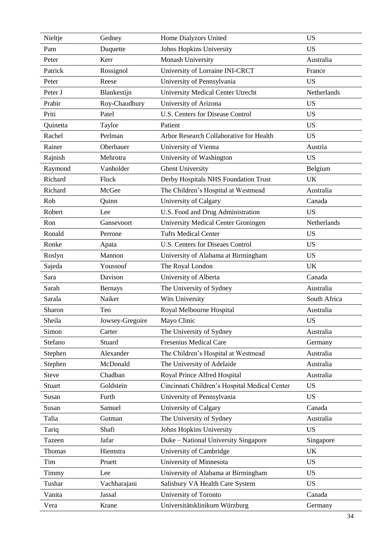| Nieltje       | Gedney          | Home Dialyzors United                         | <b>US</b>    |  |  |  |  |  |
|---------------|-----------------|-----------------------------------------------|--------------|--|--|--|--|--|
| Pam           | Duquette        | Johns Hopkins University                      | <b>US</b>    |  |  |  |  |  |
| Peter         | Kerr            | Monash University                             | Australia    |  |  |  |  |  |
| Patrick       | Rossignol       | University of Lorraine INI-CRCT               | France       |  |  |  |  |  |
| Peter         | Reese           | University of Pennsylvania                    | <b>US</b>    |  |  |  |  |  |
| Peter J       | Blankestijn     | <b>University Medical Center Utrecht</b>      | Netherlands  |  |  |  |  |  |
| Prabir        | Roy-Chaudhury   | University of Arizona                         | <b>US</b>    |  |  |  |  |  |
| Priti         | Patel           | <b>U.S. Centers for Disease Control</b>       | <b>US</b>    |  |  |  |  |  |
| Quinetta      | Taylor          | Patient                                       | <b>US</b>    |  |  |  |  |  |
| Rachel        | Perlman         | Arbor Research Collaborative for Health       | <b>US</b>    |  |  |  |  |  |
| Rainer        | Oberbauer       | University of Vienna                          | Austria      |  |  |  |  |  |
| Rajnish       | Mehrotra        | University of Washington                      | <b>US</b>    |  |  |  |  |  |
| Raymond       | Vanholder       | <b>Ghent University</b>                       | Belgium      |  |  |  |  |  |
| Richard       | Fluck           | Derby Hospitals NHS Foundation Trust          | <b>UK</b>    |  |  |  |  |  |
| Richard       | McGee           | The Children's Hospital at Westmead           | Australia    |  |  |  |  |  |
| Rob           | Quinn           | University of Calgary                         | Canada       |  |  |  |  |  |
| Robert        | Lee             | U.S. Food and Drug Administration             | <b>US</b>    |  |  |  |  |  |
| Ron           | Gansevoort      | <b>University Medical Center Groningen</b>    | Netherlands  |  |  |  |  |  |
| Ronald        | Perrone         | <b>Tufts Medical Center</b>                   | <b>US</b>    |  |  |  |  |  |
| Ronke         | Apata           | <b>U.S. Centers for Diseaes Control</b>       | <b>US</b>    |  |  |  |  |  |
| Roslyn        | Mannon          | University of Alabama at Birmingham           | <b>US</b>    |  |  |  |  |  |
| Sajeda        | Youssouf        | The Royal London                              | <b>UK</b>    |  |  |  |  |  |
| Sara          | Davison         | University of Alberta                         | Canada       |  |  |  |  |  |
| Sarah         | <b>Bernays</b>  | The University of Sydney                      | Australia    |  |  |  |  |  |
| Sarala        | Naiker          | Wits University                               | South Africa |  |  |  |  |  |
| Sharon        | Teo             | Royal Melbourne Hospital                      | Australia    |  |  |  |  |  |
| Sheila        | Jowsey-Gregoire | Mayo Clinic                                   | <b>US</b>    |  |  |  |  |  |
| Simon         | Carter          | The University of Sydney                      | Australia    |  |  |  |  |  |
| Stefano       | Stuard          | <b>Fresenius Medical Care</b>                 | Germany      |  |  |  |  |  |
| Stephen       | Alexander       | The Children's Hospital at Westmead           | Australia    |  |  |  |  |  |
| Stephen       | McDonald        | The University of Adelaide                    | Australia    |  |  |  |  |  |
| <b>Steve</b>  | Chadban         | Royal Prince Alfred Hospital                  | Australia    |  |  |  |  |  |
| <b>Stuart</b> | Goldstein       | Cincinnati Children's Hospital Medical Center | <b>US</b>    |  |  |  |  |  |
| Susan         | Furth           | University of Pennsylvania                    | <b>US</b>    |  |  |  |  |  |
| Susan         | Samuel          | University of Calgary                         | Canada       |  |  |  |  |  |
| Talia         | Gutman          | The University of Sydney                      | Australia    |  |  |  |  |  |
| Tariq         | Shafi           | Johns Hopkins University                      | <b>US</b>    |  |  |  |  |  |
| Tazeen        | Jafar           | Duke – National University Singapore          | Singapore    |  |  |  |  |  |
| Thomas        | Hiemstra        | University of Cambridge                       | <b>UK</b>    |  |  |  |  |  |
| Tim           | Pruett          | University of Minnesota                       | <b>US</b>    |  |  |  |  |  |
| Timmy         | Lee             | University of Alabama at Birmingham           | <b>US</b>    |  |  |  |  |  |
| Tushar        | Vachharajani    | Salisbury VA Health Care System               | <b>US</b>    |  |  |  |  |  |
|               | <b>Jassal</b>   |                                               | Canada       |  |  |  |  |  |
| Vanita        |                 | University of Toronto                         |              |  |  |  |  |  |
| Vera          | Krane           | Universitätsklinikum Würzburg<br>Germany      |              |  |  |  |  |  |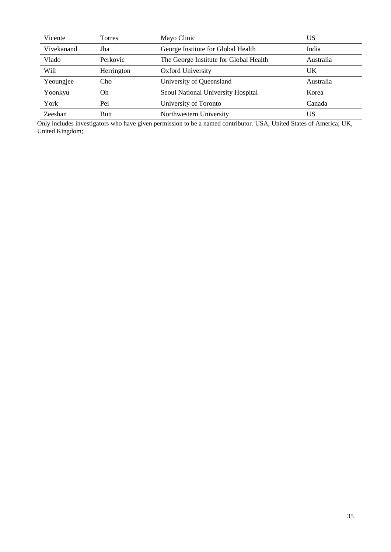| Vicente        | Torres      | Mayo Clinic                            | US        |  |
|----------------|-------------|----------------------------------------|-----------|--|
| Vivekanand     | Jha         | George Institute for Global Health     | India     |  |
| Vlado          | Perkovic    | The George Institute for Global Health | Australia |  |
| Will           | Herrington  | <b>Oxford University</b>               | UK        |  |
| Yeoungjee      | Cho         | University of Queensland               | Australia |  |
| Yoonkyu        | Oh.         | Seoul National University Hospital     | Korea     |  |
| York           | Pei         | University of Toronto                  | Canada    |  |
| <b>Zeeshan</b> | <b>Butt</b> | Northwestern University                | US        |  |

Only includes investigators who have given permission to be a named contributor. USA, United States of America; UK, United Kingdom;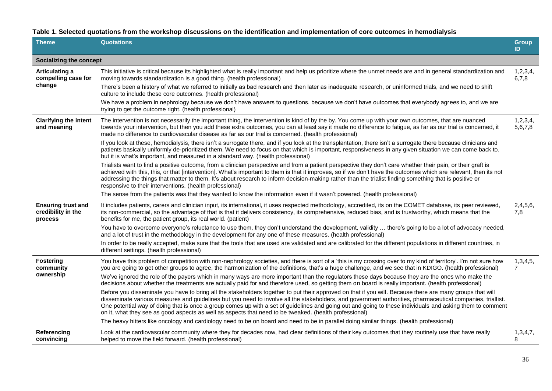**Table 1. Selected quotations from the workshop discussions on the identification and implementation of core outcomes in hemodialysis**

| <b>Theme</b>                                               | <b>Quotations</b>                                                                                                                                                                                                                                                                                                                                                                                                                                                                                                                                                                              | <b>Group</b><br>ID  |  |  |  |  |  |
|------------------------------------------------------------|------------------------------------------------------------------------------------------------------------------------------------------------------------------------------------------------------------------------------------------------------------------------------------------------------------------------------------------------------------------------------------------------------------------------------------------------------------------------------------------------------------------------------------------------------------------------------------------------|---------------------|--|--|--|--|--|
|                                                            | Socializing the concept                                                                                                                                                                                                                                                                                                                                                                                                                                                                                                                                                                        |                     |  |  |  |  |  |
| Articulating a<br>compelling case for                      | This initiative is critical because its highlighted what is really important and help us prioritize where the unmet needs are and in general standardization and<br>moving towards standardization is a good thing. (health professional)                                                                                                                                                                                                                                                                                                                                                      |                     |  |  |  |  |  |
| change                                                     | There's been a history of what we referred to initially as bad research and then later as inadequate research, or uninformed trials, and we need to shift<br>culture to include these core outcomes. (health professional)                                                                                                                                                                                                                                                                                                                                                                     |                     |  |  |  |  |  |
|                                                            | We have a problem in nephrology because we don't have answers to questions, because we don't have outcomes that everybody agrees to, and we are<br>trying to get the outcome right. (health professional)                                                                                                                                                                                                                                                                                                                                                                                      |                     |  |  |  |  |  |
| <b>Clarifying the intent</b><br>and meaning                | The intervention is not necessarily the important thing, the intervention is kind of by the by. You come up with your own outcomes, that are nuanced<br>towards your intervention, but then you add these extra outcomes, you can at least say it made no difference to fatigue, as far as our trial is concerned, it<br>made no difference to cardiovascular disease as far as our trial is concerned. (health professional)                                                                                                                                                                  | 1,2,3,4,<br>5,6,7,8 |  |  |  |  |  |
|                                                            | If you look at these, hemodialysis, there isn't a surrogate there, and if you look at the transplantation, there isn't a surrogate there because clinicians and<br>patients basically uniformly de-prioritized them. We need to focus on that which is important, responsiveness in any given situation we can come back to,<br>but it is what's important, and measured in a standard way. (health professional)                                                                                                                                                                              |                     |  |  |  |  |  |
|                                                            | Trialists want to find a positive outcome, from a clinician perspective and from a patient perspective they don't care whether their pain, or their graft is<br>achieved with this, this, or that [intervention]. What's important to them is that it improves, so if we don't have the outcomes which are relevant, then its not<br>addressing the things that matter to them. It's about research to inform decision-making rather than the trialist finding something that is positive or<br>responsive to their interventions. (health professional)                                       |                     |  |  |  |  |  |
|                                                            | The sense from the patients was that they wanted to know the information even if it wasn't powered. (health professional)                                                                                                                                                                                                                                                                                                                                                                                                                                                                      |                     |  |  |  |  |  |
| <b>Ensuring trust and</b><br>credibility in the<br>process | It includes patients, carers and clinician input, its international, it uses respected methodology, accredited, its on the COMET database, its peer reviewed,<br>its non-commercial, so the advantage of that is that it delivers consistency, its comprehensive, reduced bias, and is trustworthy, which means that the<br>benefits for me, the patient group, its real world. (patient)                                                                                                                                                                                                      |                     |  |  |  |  |  |
|                                                            | You have to overcome everyone's reluctance to use them, they don't understand the development, validity  there's going to be a lot of advocacy needed,<br>and a lot of trust in the methodology in the development for any one of these measures. (health professional)                                                                                                                                                                                                                                                                                                                        |                     |  |  |  |  |  |
|                                                            | In order to be really accepted, make sure that the tools that are used are validated and are calibrated for the different populations in different countries, in<br>different settings. (health professional)                                                                                                                                                                                                                                                                                                                                                                                  |                     |  |  |  |  |  |
| <b>Fostering</b><br>community                              | You have this problem of competition with non-nephrology societies, and there is sort of a 'this is my crossing over to my kind of territory'. I'm not sure how<br>you are going to get other groups to agree, the harmonization of the definitions, that's a huge challenge, and we see that in KDIGO. (health professional)                                                                                                                                                                                                                                                                  |                     |  |  |  |  |  |
| ownership                                                  | We've ignored the role of the payers which in many ways are more important than the regulators these days because they are the ones who make the<br>decisions about whether the treatments are actually paid for and therefore used, so getting them on board is really important. (health professional)                                                                                                                                                                                                                                                                                       |                     |  |  |  |  |  |
|                                                            | Before you disseminate you have to bring all the stakeholders together to put their approved on that if you will. Because there are many groups that will<br>disseminate various measures and guidelines but you need to involve all the stakeholders, and government authorities, pharmaceutical companies, triallist.<br>One potential way of doing that is once a group comes up with a set of guidelines and going out and going to these individuals and asking them to comment<br>on it, what they see as good aspects as well as aspects that need to be tweaked. (health professional) |                     |  |  |  |  |  |
|                                                            | The heavy hitters like oncology and cardiology need to be on board and need to be in parallel doing similar things. (health professional)                                                                                                                                                                                                                                                                                                                                                                                                                                                      |                     |  |  |  |  |  |
| Referencing<br>convincing                                  | Look at the cardiovascular community where they for decades now, had clear definitions of their key outcomes that they routinely use that have really<br>helped to move the field forward. (health professional)                                                                                                                                                                                                                                                                                                                                                                               | 1,3,4,7,<br>8       |  |  |  |  |  |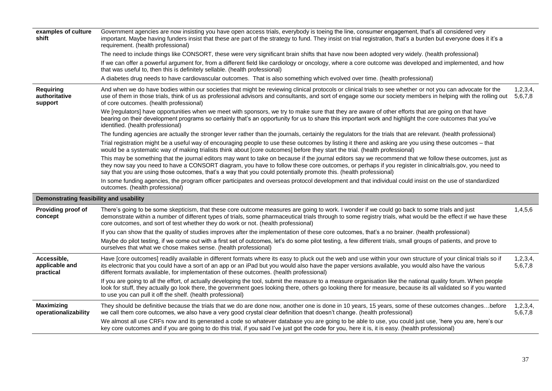| examples of culture<br>shift                 | Government agencies are now insisting you have open access trials, everybody is toeing the line, consumer engagement, that's all considered very<br>important. Maybe having funders insist that these are part of the strategy to fund. They insist on trial registration, that's a burden but everyone does it it's a<br>requirement. (health professional)                                                                              |                     |
|----------------------------------------------|-------------------------------------------------------------------------------------------------------------------------------------------------------------------------------------------------------------------------------------------------------------------------------------------------------------------------------------------------------------------------------------------------------------------------------------------|---------------------|
|                                              | The need to include things like CONSORT, these were very significant brain shifts that have now been adopted very widely. (health professional)                                                                                                                                                                                                                                                                                           |                     |
|                                              | If we can offer a powerful argument for, from a different field like cardiology or oncology, where a core outcome was developed and implemented, and how<br>that was useful to, then this is definitely sellable. (health professional)                                                                                                                                                                                                   |                     |
|                                              | A diabetes drug needs to have cardiovascular outcomes. That is also something which evolved over time. (health professional)                                                                                                                                                                                                                                                                                                              |                     |
| <b>Requiring</b><br>authoritative<br>support | And when we do have bodies within our societies that might be reviewing clinical protocols or clinical trials to see whether or not you can advocate for the<br>use of them in those trials, think of us as professional advisors and consultants, and sort of engage some our society members in helping with the rolling out<br>of core outcomes. (health professional)                                                                 | 1,2,3,4,<br>5,6,7,8 |
|                                              | We [regulators] have opportunities when we meet with sponsors, we try to make sure that they are aware of other efforts that are going on that have<br>bearing on their development programs so certainly that's an opportunity for us to share this important work and highlight the core outcomes that you've<br>identified. (health professional)                                                                                      |                     |
|                                              | The funding agencies are actually the stronger lever rather than the journals, certainly the regulators for the trials that are relevant. (health professional)                                                                                                                                                                                                                                                                           |                     |
|                                              | Trial registration might be a useful way of encouraging people to use these outcomes by listing it there and asking are you using these outcomes - that<br>would be a systematic way of making trialists think about [core outcomes] before they start the trial. (health professional)                                                                                                                                                   |                     |
|                                              | This may be something that the journal editors may want to take on because if the journal editors say we recommend that we follow these outcomes, just as<br>they now say you need to have a CONSORT diagram, you have to follow these core outcomes, or perhaps if you register in clinicaltrials.gov, you need to<br>say that you are using those outcomes, that's a way that you could potentially promote this. (health professional) |                     |
|                                              | In some funding agencies, the program officer participates and overseas protocol development and that individual could insist on the use of standardized<br>outcomes. (health professional)                                                                                                                                                                                                                                               |                     |
| Demonstrating feasibility and usability      |                                                                                                                                                                                                                                                                                                                                                                                                                                           |                     |
| Providing proof of<br>concept                | There's going to be some skepticism, that these core outcome measures are going to work. I wonder if we could go back to some trials and just<br>demonstrate within a number of different types of trials, some pharmaceutical trials through to some registry trials, what would be the effect if we have these<br>core outcomes, and sort of test whether they do work or not. (health professional)                                    | 1,4,5,6             |
|                                              | If you can show that the quality of studies improves after the implementation of these core outcomes, that's a no brainer. (health professional)                                                                                                                                                                                                                                                                                          |                     |
|                                              | Maybe do pilot testing, if we come out with a first set of outcomes, let's do some pilot testing, a few different trials, small groups of patients, and prove to<br>ourselves that what we chose makes sense. (health professional)                                                                                                                                                                                                       |                     |
| Accessible,<br>applicable and<br>practical   | Have [core outcomes] readily available in different formats where its easy to pluck out the web and use within your own structure of your clinical trials so if<br>its electronic that you could have a sort of an app or an iPad but you would also have the paper versions available, you would also have the various<br>different formats available, for implementation of these outcomes. (health professional)                       | 1,2,3,4,<br>5,6,7,8 |
|                                              | If you are going to all the effort, of actually developing the tool, submit the measure to a measure organisation like the national quality forum. When people<br>look for stuff, they actually go look there, the government goes looking there, others go looking there for measure, because its all validated so if you wanted<br>to use you can pull it off the shelf. (health professional)                                          |                     |
| <b>Maximizing</b><br>operationalizability    | They should be definitive because the trials that we do are done now, another one is done in 10 years, 15 years, some of these outcomes changesbefore<br>we call them core outcomes, we also have a very good crystal clear definition that doesn't change. (health professional)                                                                                                                                                         | 1,2,3,4,<br>5,6,7,8 |
|                                              | We almost all use CRFs now and its generated a code so whatever database you are going to be able to use, you could just use, 'here you are, here's our<br>key core outcomes and if you are going to do this trial, if you said I've just got the code for you, here it is, it is easy. (health professional)                                                                                                                             |                     |
|                                              |                                                                                                                                                                                                                                                                                                                                                                                                                                           |                     |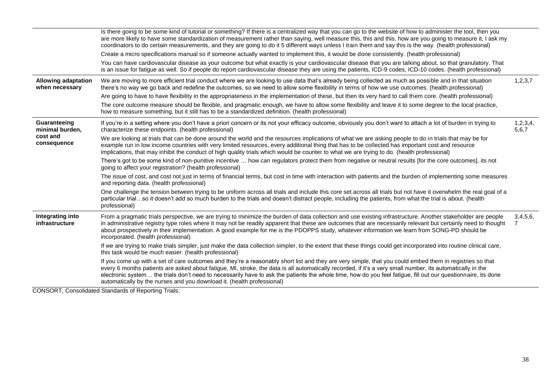|                                              | Is there going to be some kind of tutorial or something? If there is a centralized way that you can go to the website of how to administer the tool, then you                                                                                                                                                                                                                                                                                                                                                                                                     |                   |  |  |  |  |
|----------------------------------------------|-------------------------------------------------------------------------------------------------------------------------------------------------------------------------------------------------------------------------------------------------------------------------------------------------------------------------------------------------------------------------------------------------------------------------------------------------------------------------------------------------------------------------------------------------------------------|-------------------|--|--|--|--|
|                                              | are more likely to have some standardization of measurement rather than saying, well measure this, this and this, how are you going to measure it, I ask my<br>coordinators to do certain measurements, and they are going to do it 5 different ways unless I train them and say this is the way. (health professional)                                                                                                                                                                                                                                           |                   |  |  |  |  |
|                                              | Create a micro specifications manual so if someone actually wanted to implement this, it would be done consistently. (health professional)                                                                                                                                                                                                                                                                                                                                                                                                                        |                   |  |  |  |  |
|                                              | You can have cardiovascular disease as your outcome but what exactly is your cardiovascular disease that you are talking about, so that granulatory. That<br>is an issue for fatigue as well. So if people do report cardiovascular disease they are using the patients, ICD-9 codes, ICD-10 codes. (health professional)                                                                                                                                                                                                                                         |                   |  |  |  |  |
| <b>Allowing adaptation</b><br>when necessary | We are moving to more efficient trial conduct where we are looking to use data that's already being collected as much as possible and in that situation<br>there's no way we go back and redefine the outcomes, so we need to allow some flexibility in terms of how we use outcomes. (health professional)                                                                                                                                                                                                                                                       | 1,2,3,7           |  |  |  |  |
|                                              | Are going to have to have flexibility in the appropriateness in the implementation of these, but then its very hard to call them core. (health professional)                                                                                                                                                                                                                                                                                                                                                                                                      |                   |  |  |  |  |
|                                              | The core outcome measure should be flexible, and pragmatic enough, we have to allow some flexibility and leave it to some degree to the local practice,<br>how to measure something, but it still has to be a standardized definition. (health professional)                                                                                                                                                                                                                                                                                                      |                   |  |  |  |  |
| Guaranteeing<br>minimal burden,              | If you're in a setting where you don't have a priori concern or its not your efficacy outcome, obviously you don't want to attach a lot of burden in trying to<br>characterize these endpoints. (health professional)                                                                                                                                                                                                                                                                                                                                             | 1,2,3,4,<br>5,6,7 |  |  |  |  |
| cost and<br>consequence                      | We are looking at trials that can be done around the world and the resources implications of what we are asking people to do in trials that may be for<br>example run in low income countries with very limited resources, every additional thing that has to be collected has important cost and resource<br>implications, that may inhibit the conduct of high quality trials which would be counter to what we are trying to do. (health professional)                                                                                                         |                   |  |  |  |  |
|                                              | There's got to be some kind of non-punitive incentive  how can regulators protect them from negative or neutral results [for the core outcomes], its not<br>going to affect your registration? (health professional)                                                                                                                                                                                                                                                                                                                                              |                   |  |  |  |  |
|                                              | The issue of cost, and cost not just in terms of financial terms, but cost in time with interaction with patients and the burden of implementing some measures<br>and reporting data. (health professional)                                                                                                                                                                                                                                                                                                                                                       |                   |  |  |  |  |
|                                              | One challenge the tension between trying to be uniform across all trials and include this core set across all trials but not have it overwhelm the real goal of a<br>particular trialso it doesn't add so much burden to the trials and doesn't distract people, including the patients, from what the trial is about. (health<br>professional)                                                                                                                                                                                                                   |                   |  |  |  |  |
| Integrating into<br>infrastructure           | From a pragmatic trials perspective, we are trying to minimize the burden of data collection and use existing infrastructure. Another stakeholder are people<br>in administrative registry type roles where it may not be readily apparent that these are outcomes that are necessarily relevant but certainly need to thought<br>about prospectively in their implementation. A good example for me is the PDOPPS study, whatever information we learn from SONG-PD should be<br>incorporated. (health professional)                                             | 3,4,5,6,<br>7     |  |  |  |  |
|                                              | If we are trying to make trials simpler, just make the data collection simpler, to the extent that these things could get incorporated into routine clinical care,<br>this task would be much easier. (health professional)                                                                                                                                                                                                                                                                                                                                       |                   |  |  |  |  |
|                                              | If you come up with a set of care outcomes and they're a reasonably short list and they are very simple, that you could embed them in registries so that<br>every 6 months patients are asked about fatigue, MI, stroke, the data is all automatically recorded, if it's a very small number, its automatically in the<br>electronic system the trials don't need to necessarily have to ask the patients the whole time, how do you feel fatigue, fill out our questionnaire, its done<br>automatically by the nurses and you download it. (health professional) |                   |  |  |  |  |
|                                              |                                                                                                                                                                                                                                                                                                                                                                                                                                                                                                                                                                   |                   |  |  |  |  |

CONSORT, Consolidated Standards of Reporting Trials;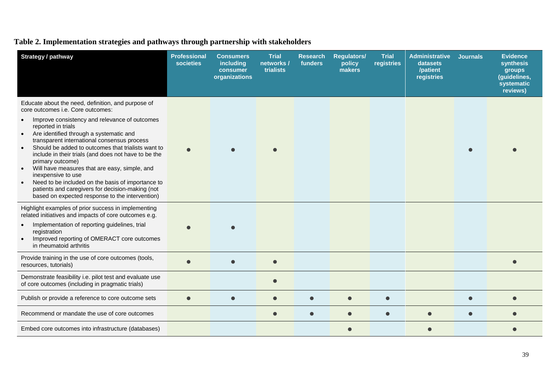## **Table 2. Implementation strategies and pathways through partnership with stakeholders**

| <b>Strategy / pathway</b>                                                                                                                                                                                                                                                                                                                                                                                                                                                                                                                                                                                                                                            | <b>Professional</b><br>societies | <b>Consumers</b><br>including<br>consumer<br>organizations | <b>Trial</b><br>networks /<br>trialists | <b>Research</b><br>funders | <b>Regulators/</b><br>policy<br>makers | <b>Trial</b><br>registries | <b>Administrative</b><br>datasets<br>/patient<br>registries | <b>Journals</b> | <b>Evidence</b><br>synthesis<br>groups<br>(guidelines,<br>systematic<br>reviews) |
|----------------------------------------------------------------------------------------------------------------------------------------------------------------------------------------------------------------------------------------------------------------------------------------------------------------------------------------------------------------------------------------------------------------------------------------------------------------------------------------------------------------------------------------------------------------------------------------------------------------------------------------------------------------------|----------------------------------|------------------------------------------------------------|-----------------------------------------|----------------------------|----------------------------------------|----------------------------|-------------------------------------------------------------|-----------------|----------------------------------------------------------------------------------|
| Educate about the need, definition, and purpose of<br>core outcomes i.e. Core outcomes:<br>Improve consistency and relevance of outcomes<br>$\bullet$<br>reported in trials<br>Are identified through a systematic and<br>$\bullet$<br>transparent international consensus process<br>Should be added to outcomes that trialists want to<br>$\bullet$<br>include in their trials (and does not have to be the<br>primary outcome)<br>Will have measures that are easy, simple, and<br>inexpensive to use<br>Need to be included on the basis of importance to<br>patients and caregivers for decision-making (not<br>based on expected response to the intervention) |                                  |                                                            |                                         |                            |                                        |                            |                                                             |                 |                                                                                  |
| Highlight examples of prior success in implementing<br>related initiatives and impacts of core outcomes e.g.<br>Implementation of reporting guidelines, trial<br>$\bullet$<br>registration<br>Improved reporting of OMERACT core outcomes<br>$\bullet$<br>in rheumatoid arthritis                                                                                                                                                                                                                                                                                                                                                                                    |                                  |                                                            |                                         |                            |                                        |                            |                                                             |                 |                                                                                  |
| Provide training in the use of core outcomes (tools,<br>resources, tutorials)                                                                                                                                                                                                                                                                                                                                                                                                                                                                                                                                                                                        |                                  |                                                            |                                         |                            |                                        |                            |                                                             |                 |                                                                                  |
| Demonstrate feasibility i.e. pilot test and evaluate use<br>of core outcomes (including in pragmatic trials)                                                                                                                                                                                                                                                                                                                                                                                                                                                                                                                                                         |                                  |                                                            |                                         |                            |                                        |                            |                                                             |                 |                                                                                  |
| Publish or provide a reference to core outcome sets                                                                                                                                                                                                                                                                                                                                                                                                                                                                                                                                                                                                                  | $\bullet$                        |                                                            |                                         |                            | $\bullet$                              |                            |                                                             |                 |                                                                                  |
| Recommend or mandate the use of core outcomes                                                                                                                                                                                                                                                                                                                                                                                                                                                                                                                                                                                                                        |                                  |                                                            |                                         |                            | $\bullet$                              |                            |                                                             |                 |                                                                                  |
| Embed core outcomes into infrastructure (databases)                                                                                                                                                                                                                                                                                                                                                                                                                                                                                                                                                                                                                  |                                  |                                                            |                                         |                            |                                        |                            |                                                             |                 |                                                                                  |